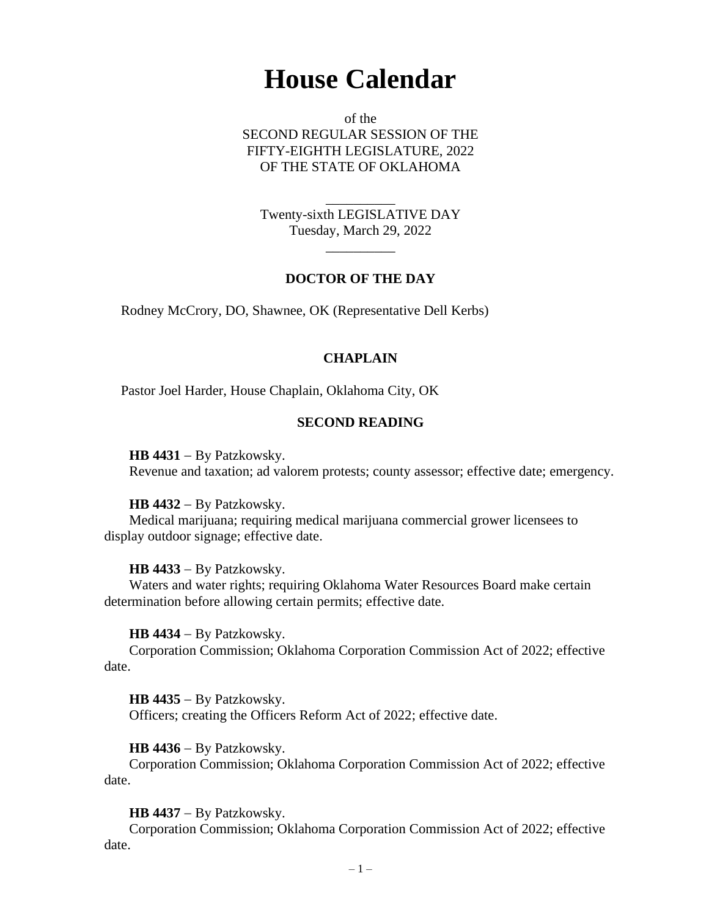# **House Calendar**

of the SECOND REGULAR SESSION OF THE FIFTY-EIGHTH LEGISLATURE, 2022 OF THE STATE OF OKLAHOMA

Twenty-sixth LEGISLATIVE DAY Tuesday, March 29, 2022

 $\overline{\phantom{a}}$ 

\_\_\_\_\_\_\_\_\_\_

## **DOCTOR OF THE DAY**

Rodney McCrory, DO, Shawnee, OK (Representative Dell Kerbs)

## **CHAPLAIN**

Pastor Joel Harder, House Chaplain, Oklahoma City, OK

## **SECOND READING**

**HB 4431** − By Patzkowsky. Revenue and taxation; ad valorem protests; county assessor; effective date; emergency.

**HB 4432** − By Patzkowsky.

Medical marijuana; requiring medical marijuana commercial grower licensees to display outdoor signage; effective date.

**HB 4433** − By Patzkowsky.

Waters and water rights; requiring Oklahoma Water Resources Board make certain determination before allowing certain permits; effective date.

**HB 4434** − By Patzkowsky.

Corporation Commission; Oklahoma Corporation Commission Act of 2022; effective date.

**HB 4435** − By Patzkowsky. Officers; creating the Officers Reform Act of 2022; effective date.

**HB 4436** − By Patzkowsky.

Corporation Commission; Oklahoma Corporation Commission Act of 2022; effective date.

**HB 4437** − By Patzkowsky.

Corporation Commission; Oklahoma Corporation Commission Act of 2022; effective date.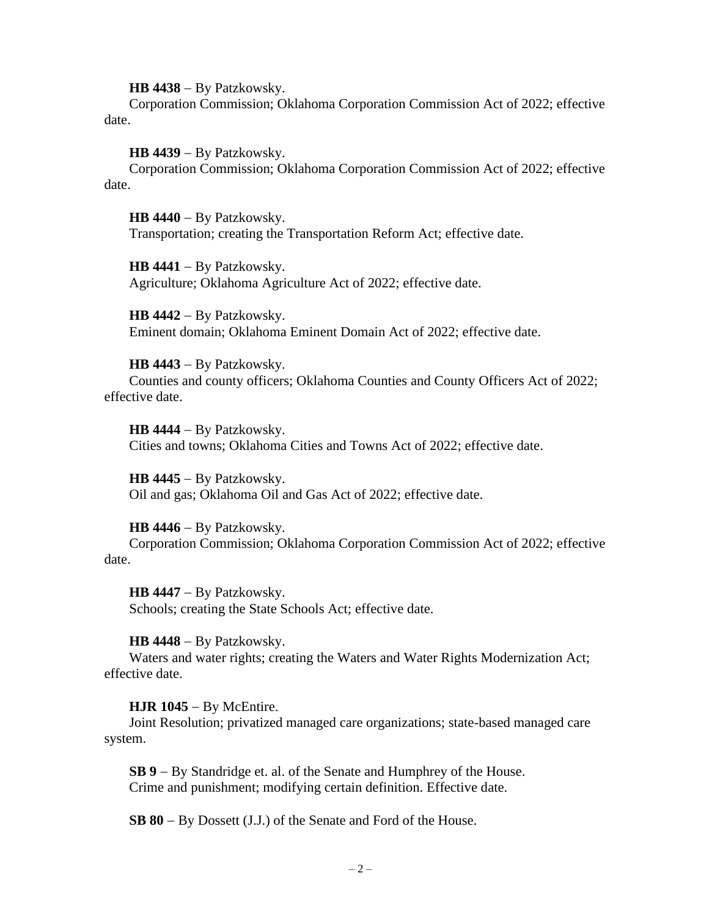**HB 4438** − By Patzkowsky.

Corporation Commission; Oklahoma Corporation Commission Act of 2022; effective date.

**HB 4439** − By Patzkowsky.

Corporation Commission; Oklahoma Corporation Commission Act of 2022; effective date.

**HB 4440** − By Patzkowsky. Transportation; creating the Transportation Reform Act; effective date.

**HB 4441** − By Patzkowsky. Agriculture; Oklahoma Agriculture Act of 2022; effective date.

**HB 4442** − By Patzkowsky. Eminent domain; Oklahoma Eminent Domain Act of 2022; effective date.

**HB 4443** − By Patzkowsky. Counties and county officers; Oklahoma Counties and County Officers Act of 2022; effective date.

**HB 4444** − By Patzkowsky. Cities and towns; Oklahoma Cities and Towns Act of 2022; effective date.

**HB 4445** − By Patzkowsky. Oil and gas; Oklahoma Oil and Gas Act of 2022; effective date.

**HB 4446** − By Patzkowsky.

Corporation Commission; Oklahoma Corporation Commission Act of 2022; effective date.

**HB 4447** − By Patzkowsky.

Schools; creating the State Schools Act; effective date.

**HB 4448** − By Patzkowsky.

Waters and water rights; creating the Waters and Water Rights Modernization Act; effective date.

**HJR 1045** − By McEntire.

Joint Resolution; privatized managed care organizations; state-based managed care system.

**SB 9** − By Standridge et. al. of the Senate and Humphrey of the House. Crime and punishment; modifying certain definition. Effective date.

**SB 80** − By Dossett (J.J.) of the Senate and Ford of the House.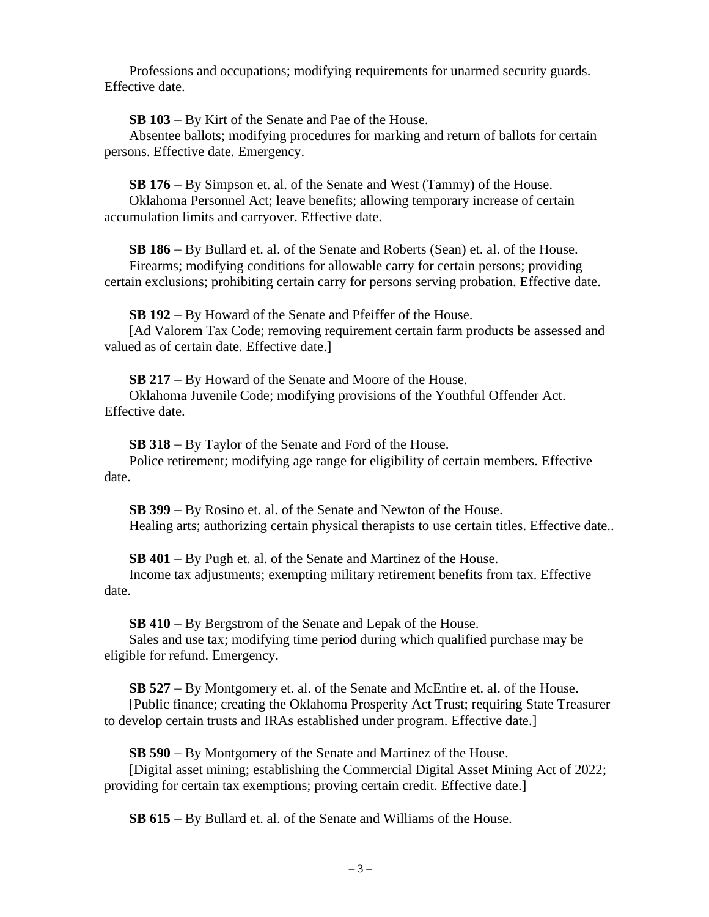Professions and occupations; modifying requirements for unarmed security guards. Effective date.

**SB 103** − By Kirt of the Senate and Pae of the House.

Absentee ballots; modifying procedures for marking and return of ballots for certain persons. Effective date. Emergency.

**SB 176** − By Simpson et. al. of the Senate and West (Tammy) of the House.

Oklahoma Personnel Act; leave benefits; allowing temporary increase of certain accumulation limits and carryover. Effective date.

**SB 186** − By Bullard et. al. of the Senate and Roberts (Sean) et. al. of the House. Firearms; modifying conditions for allowable carry for certain persons; providing certain exclusions; prohibiting certain carry for persons serving probation. Effective date.

**SB 192** − By Howard of the Senate and Pfeiffer of the House.

[Ad Valorem Tax Code; removing requirement certain farm products be assessed and valued as of certain date. Effective date.]

**SB 217** − By Howard of the Senate and Moore of the House.

Oklahoma Juvenile Code; modifying provisions of the Youthful Offender Act. Effective date.

**SB 318** − By Taylor of the Senate and Ford of the House.

Police retirement; modifying age range for eligibility of certain members. Effective date.

**SB 399** − By Rosino et. al. of the Senate and Newton of the House. Healing arts; authorizing certain physical therapists to use certain titles. Effective date..

**SB 401** − By Pugh et. al. of the Senate and Martinez of the House.

Income tax adjustments; exempting military retirement benefits from tax. Effective date.

**SB 410** − By Bergstrom of the Senate and Lepak of the House.

Sales and use tax; modifying time period during which qualified purchase may be eligible for refund. Emergency.

**SB 527** − By Montgomery et. al. of the Senate and McEntire et. al. of the House. [Public finance; creating the Oklahoma Prosperity Act Trust; requiring State Treasurer to develop certain trusts and IRAs established under program. Effective date.]

**SB 590** − By Montgomery of the Senate and Martinez of the House.

[Digital asset mining; establishing the Commercial Digital Asset Mining Act of 2022; providing for certain tax exemptions; proving certain credit. Effective date.]

**SB 615** − By Bullard et. al. of the Senate and Williams of the House.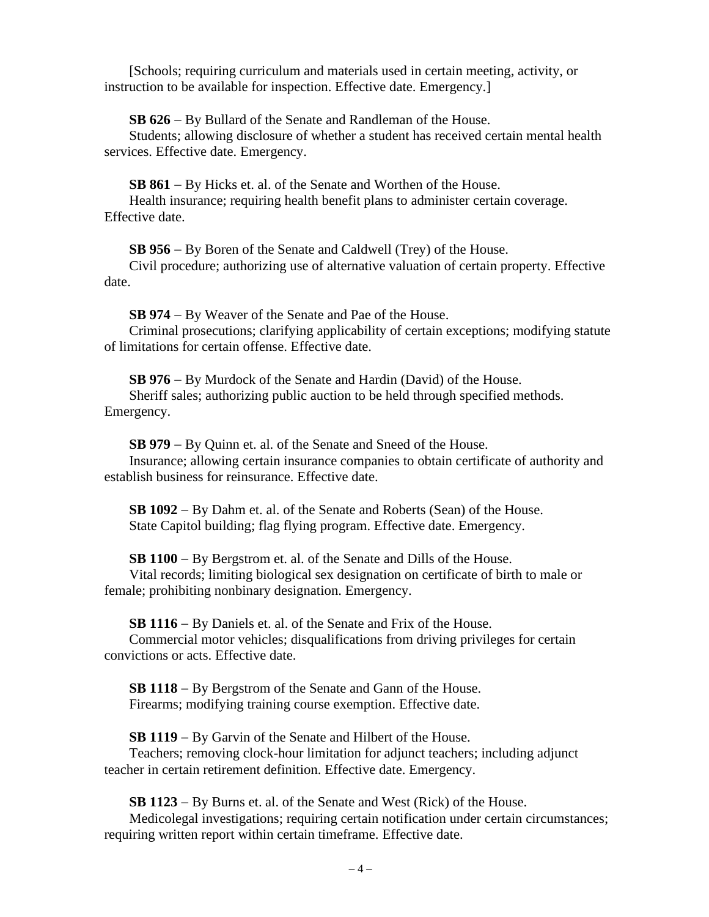[Schools; requiring curriculum and materials used in certain meeting, activity, or instruction to be available for inspection. Effective date. Emergency.]

**SB 626** − By Bullard of the Senate and Randleman of the House.

Students; allowing disclosure of whether a student has received certain mental health services. Effective date. Emergency.

**SB 861** − By Hicks et. al. of the Senate and Worthen of the House. Health insurance; requiring health benefit plans to administer certain coverage. Effective date.

**SB 956** − By Boren of the Senate and Caldwell (Trey) of the House.

Civil procedure; authorizing use of alternative valuation of certain property. Effective date.

**SB 974** − By Weaver of the Senate and Pae of the House.

Criminal prosecutions; clarifying applicability of certain exceptions; modifying statute of limitations for certain offense. Effective date.

**SB 976** − By Murdock of the Senate and Hardin (David) of the House. Sheriff sales; authorizing public auction to be held through specified methods. Emergency.

**SB 979** − By Quinn et. al. of the Senate and Sneed of the House.

Insurance; allowing certain insurance companies to obtain certificate of authority and establish business for reinsurance. Effective date.

**SB 1092** − By Dahm et. al. of the Senate and Roberts (Sean) of the House. State Capitol building; flag flying program. Effective date. Emergency.

**SB 1100** − By Bergstrom et. al. of the Senate and Dills of the House.

Vital records; limiting biological sex designation on certificate of birth to male or female; prohibiting nonbinary designation. Emergency.

**SB 1116** − By Daniels et. al. of the Senate and Frix of the House.

Commercial motor vehicles; disqualifications from driving privileges for certain convictions or acts. Effective date.

**SB 1118** − By Bergstrom of the Senate and Gann of the House. Firearms; modifying training course exemption. Effective date.

**SB 1119** − By Garvin of the Senate and Hilbert of the House. Teachers; removing clock-hour limitation for adjunct teachers; including adjunct teacher in certain retirement definition. Effective date. Emergency.

**SB 1123** − By Burns et. al. of the Senate and West (Rick) of the House.

Medicolegal investigations; requiring certain notification under certain circumstances; requiring written report within certain timeframe. Effective date.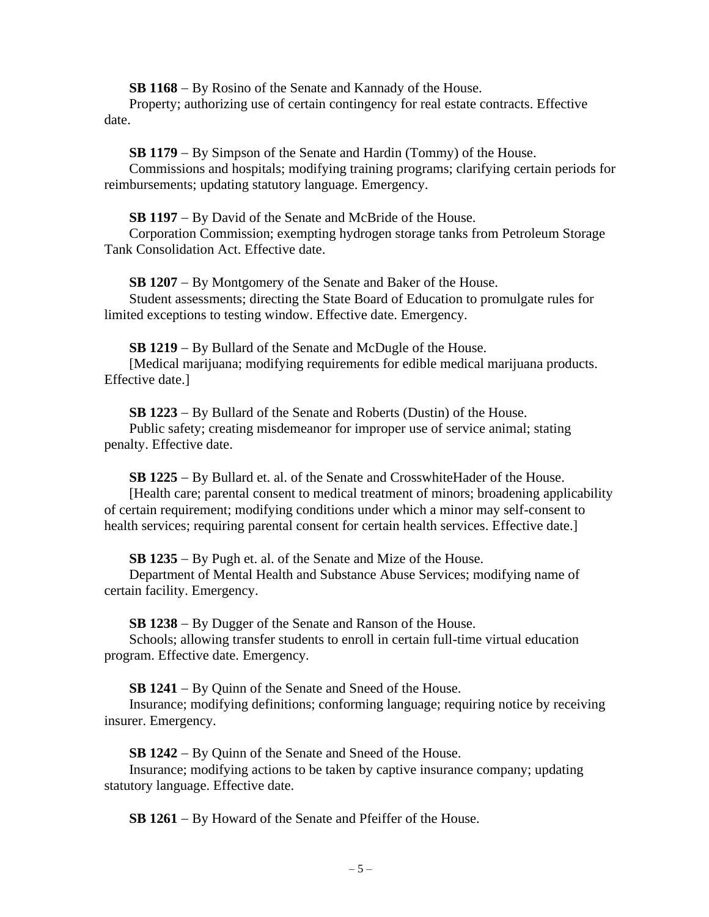**SB 1168** − By Rosino of the Senate and Kannady of the House.

Property; authorizing use of certain contingency for real estate contracts. Effective date.

**SB 1179** − By Simpson of the Senate and Hardin (Tommy) of the House.

Commissions and hospitals; modifying training programs; clarifying certain periods for reimbursements; updating statutory language. Emergency.

**SB 1197** − By David of the Senate and McBride of the House.

Corporation Commission; exempting hydrogen storage tanks from Petroleum Storage Tank Consolidation Act. Effective date.

**SB 1207** − By Montgomery of the Senate and Baker of the House. Student assessments; directing the State Board of Education to promulgate rules for limited exceptions to testing window. Effective date. Emergency.

**SB 1219** − By Bullard of the Senate and McDugle of the House. [Medical marijuana; modifying requirements for edible medical marijuana products. Effective date.]

**SB 1223** − By Bullard of the Senate and Roberts (Dustin) of the House. Public safety; creating misdemeanor for improper use of service animal; stating penalty. Effective date.

**SB 1225** − By Bullard et. al. of the Senate and CrosswhiteHader of the House. [Health care; parental consent to medical treatment of minors; broadening applicability of certain requirement; modifying conditions under which a minor may self-consent to health services; requiring parental consent for certain health services. Effective date.

**SB 1235** − By Pugh et. al. of the Senate and Mize of the House.

Department of Mental Health and Substance Abuse Services; modifying name of certain facility. Emergency.

**SB 1238** − By Dugger of the Senate and Ranson of the House.

Schools; allowing transfer students to enroll in certain full-time virtual education program. Effective date. Emergency.

**SB 1241** − By Quinn of the Senate and Sneed of the House.

Insurance; modifying definitions; conforming language; requiring notice by receiving insurer. Emergency.

**SB 1242** − By Quinn of the Senate and Sneed of the House.

Insurance; modifying actions to be taken by captive insurance company; updating statutory language. Effective date.

**SB 1261** − By Howard of the Senate and Pfeiffer of the House.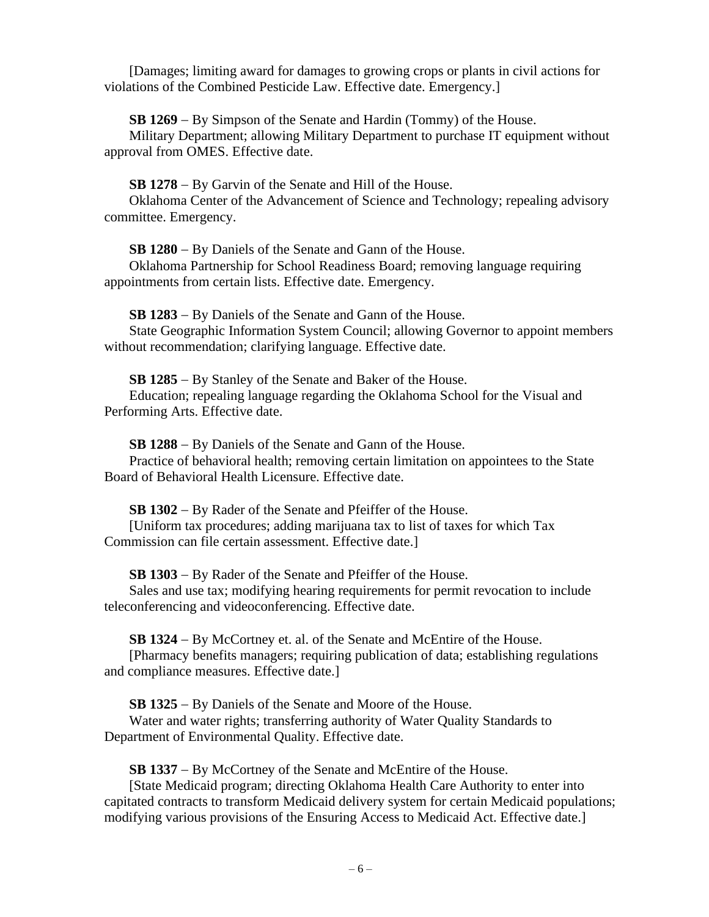[Damages; limiting award for damages to growing crops or plants in civil actions for violations of the Combined Pesticide Law. Effective date. Emergency.]

**SB 1269** − By Simpson of the Senate and Hardin (Tommy) of the House.

Military Department; allowing Military Department to purchase IT equipment without approval from OMES. Effective date.

**SB 1278** − By Garvin of the Senate and Hill of the House.

Oklahoma Center of the Advancement of Science and Technology; repealing advisory committee. Emergency.

**SB 1280** − By Daniels of the Senate and Gann of the House.

Oklahoma Partnership for School Readiness Board; removing language requiring appointments from certain lists. Effective date. Emergency.

**SB 1283** − By Daniels of the Senate and Gann of the House. State Geographic Information System Council; allowing Governor to appoint members without recommendation; clarifying language. Effective date.

**SB 1285** − By Stanley of the Senate and Baker of the House. Education; repealing language regarding the Oklahoma School for the Visual and Performing Arts. Effective date.

**SB 1288** − By Daniels of the Senate and Gann of the House.

Practice of behavioral health; removing certain limitation on appointees to the State Board of Behavioral Health Licensure. Effective date.

**SB 1302** − By Rader of the Senate and Pfeiffer of the House. [Uniform tax procedures; adding marijuana tax to list of taxes for which Tax Commission can file certain assessment. Effective date.]

**SB 1303** − By Rader of the Senate and Pfeiffer of the House.

Sales and use tax; modifying hearing requirements for permit revocation to include teleconferencing and videoconferencing. Effective date.

**SB 1324** − By McCortney et. al. of the Senate and McEntire of the House.

[Pharmacy benefits managers; requiring publication of data; establishing regulations and compliance measures. Effective date.]

**SB 1325** − By Daniels of the Senate and Moore of the House.

Water and water rights; transferring authority of Water Quality Standards to Department of Environmental Quality. Effective date.

**SB 1337** − By McCortney of the Senate and McEntire of the House.

[State Medicaid program; directing Oklahoma Health Care Authority to enter into capitated contracts to transform Medicaid delivery system for certain Medicaid populations; modifying various provisions of the Ensuring Access to Medicaid Act. Effective date.]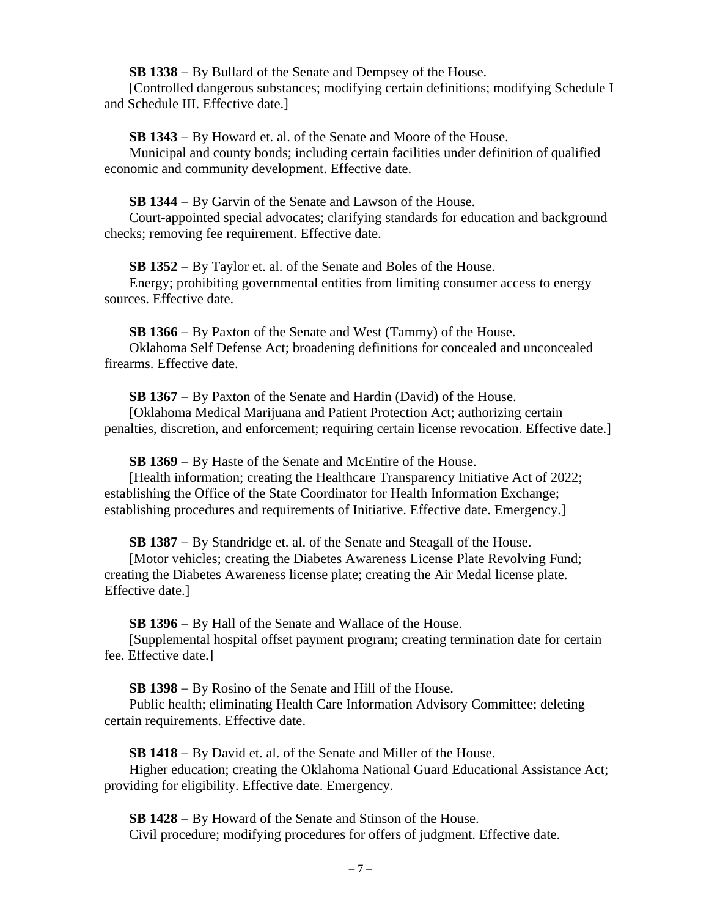**SB 1338** − By Bullard of the Senate and Dempsey of the House.

[Controlled dangerous substances; modifying certain definitions; modifying Schedule I and Schedule III. Effective date.]

**SB 1343** − By Howard et. al. of the Senate and Moore of the House.

Municipal and county bonds; including certain facilities under definition of qualified economic and community development. Effective date.

**SB 1344** − By Garvin of the Senate and Lawson of the House.

Court-appointed special advocates; clarifying standards for education and background checks; removing fee requirement. Effective date.

**SB 1352** − By Taylor et. al. of the Senate and Boles of the House.

Energy; prohibiting governmental entities from limiting consumer access to energy sources. Effective date.

**SB 1366** − By Paxton of the Senate and West (Tammy) of the House.

Oklahoma Self Defense Act; broadening definitions for concealed and unconcealed firearms. Effective date.

**SB 1367** − By Paxton of the Senate and Hardin (David) of the House.

[Oklahoma Medical Marijuana and Patient Protection Act; authorizing certain penalties, discretion, and enforcement; requiring certain license revocation. Effective date.]

**SB 1369** − By Haste of the Senate and McEntire of the House.

[Health information; creating the Healthcare Transparency Initiative Act of 2022; establishing the Office of the State Coordinator for Health Information Exchange; establishing procedures and requirements of Initiative. Effective date. Emergency.]

**SB 1387** − By Standridge et. al. of the Senate and Steagall of the House.

[Motor vehicles; creating the Diabetes Awareness License Plate Revolving Fund; creating the Diabetes Awareness license plate; creating the Air Medal license plate. Effective date.]

**SB 1396** − By Hall of the Senate and Wallace of the House.

[Supplemental hospital offset payment program; creating termination date for certain fee. Effective date.]

**SB 1398** − By Rosino of the Senate and Hill of the House.

Public health; eliminating Health Care Information Advisory Committee; deleting certain requirements. Effective date.

**SB 1418** − By David et. al. of the Senate and Miller of the House.

Higher education; creating the Oklahoma National Guard Educational Assistance Act; providing for eligibility. Effective date. Emergency.

**SB 1428** − By Howard of the Senate and Stinson of the House. Civil procedure; modifying procedures for offers of judgment. Effective date.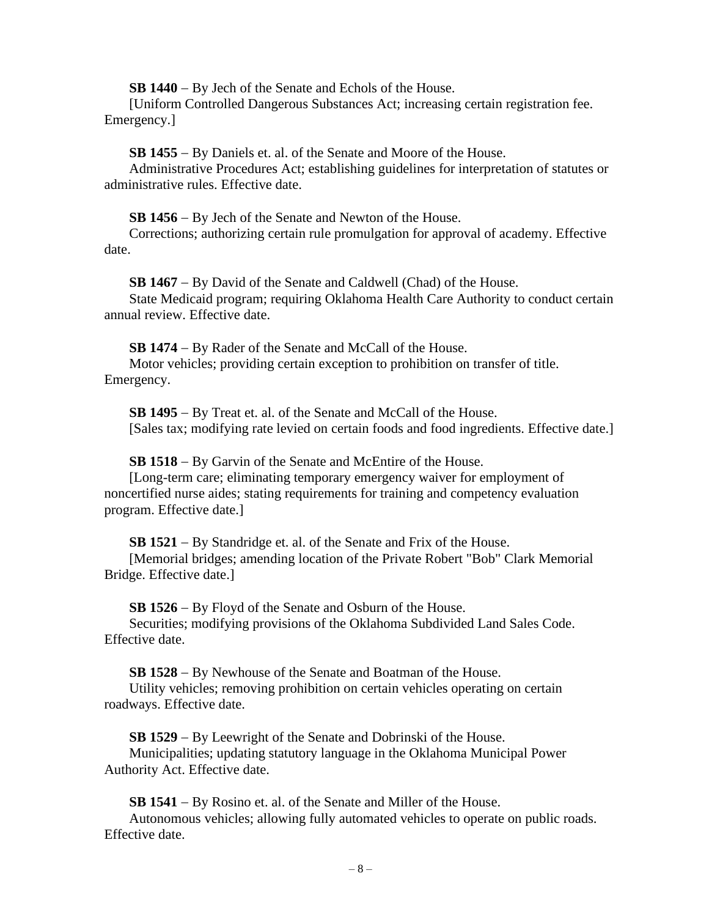**SB 1440** − By Jech of the Senate and Echols of the House.

[Uniform Controlled Dangerous Substances Act; increasing certain registration fee. Emergency.]

**SB 1455** − By Daniels et. al. of the Senate and Moore of the House.

Administrative Procedures Act; establishing guidelines for interpretation of statutes or administrative rules. Effective date.

**SB 1456** − By Jech of the Senate and Newton of the House.

Corrections; authorizing certain rule promulgation for approval of academy. Effective date.

**SB 1467** − By David of the Senate and Caldwell (Chad) of the House. State Medicaid program; requiring Oklahoma Health Care Authority to conduct certain annual review. Effective date.

**SB 1474** − By Rader of the Senate and McCall of the House.

Motor vehicles; providing certain exception to prohibition on transfer of title. Emergency.

**SB 1495** − By Treat et. al. of the Senate and McCall of the House. [Sales tax; modifying rate levied on certain foods and food ingredients. Effective date.]

**SB 1518** − By Garvin of the Senate and McEntire of the House.

[Long-term care; eliminating temporary emergency waiver for employment of noncertified nurse aides; stating requirements for training and competency evaluation program. Effective date.]

**SB 1521** − By Standridge et. al. of the Senate and Frix of the House.

[Memorial bridges; amending location of the Private Robert "Bob" Clark Memorial Bridge. Effective date.]

**SB 1526** − By Floyd of the Senate and Osburn of the House.

Securities; modifying provisions of the Oklahoma Subdivided Land Sales Code. Effective date.

**SB 1528** − By Newhouse of the Senate and Boatman of the House.

Utility vehicles; removing prohibition on certain vehicles operating on certain roadways. Effective date.

**SB 1529** − By Leewright of the Senate and Dobrinski of the House. Municipalities; updating statutory language in the Oklahoma Municipal Power Authority Act. Effective date.

**SB 1541** − By Rosino et. al. of the Senate and Miller of the House. Autonomous vehicles; allowing fully automated vehicles to operate on public roads. Effective date.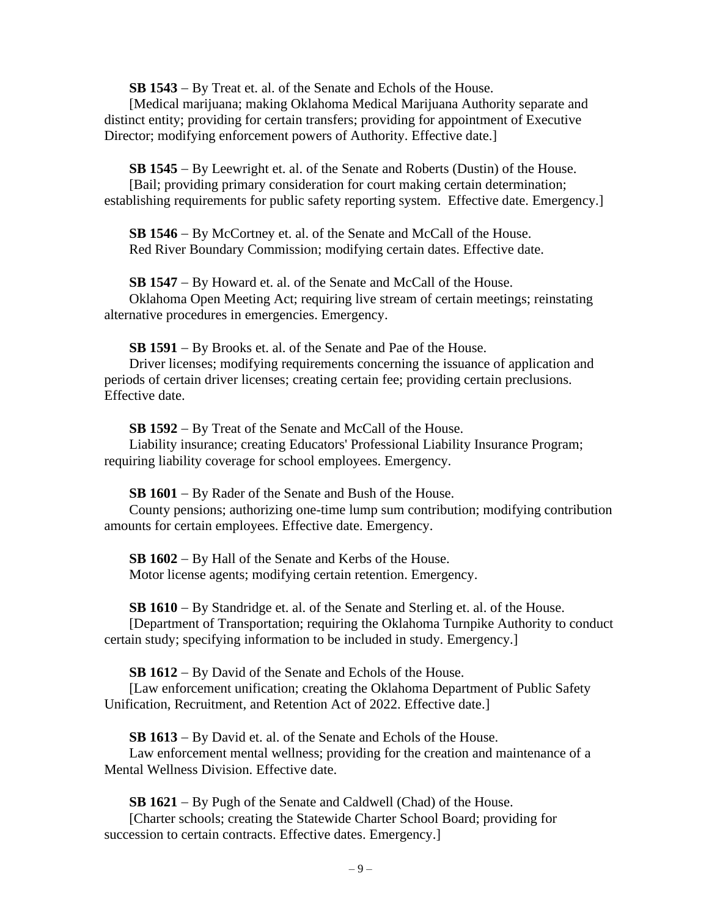**SB 1543** − By Treat et. al. of the Senate and Echols of the House.

[Medical marijuana; making Oklahoma Medical Marijuana Authority separate and distinct entity; providing for certain transfers; providing for appointment of Executive Director; modifying enforcement powers of Authority. Effective date.]

**SB 1545** − By Leewright et. al. of the Senate and Roberts (Dustin) of the House. [Bail; providing primary consideration for court making certain determination; establishing requirements for public safety reporting system. Effective date. Emergency.]

**SB 1546** − By McCortney et. al. of the Senate and McCall of the House. Red River Boundary Commission; modifying certain dates. Effective date.

**SB 1547** − By Howard et. al. of the Senate and McCall of the House. Oklahoma Open Meeting Act; requiring live stream of certain meetings; reinstating alternative procedures in emergencies. Emergency.

**SB 1591** − By Brooks et. al. of the Senate and Pae of the House.

Driver licenses; modifying requirements concerning the issuance of application and periods of certain driver licenses; creating certain fee; providing certain preclusions. Effective date.

**SB 1592** − By Treat of the Senate and McCall of the House. Liability insurance; creating Educators' Professional Liability Insurance Program; requiring liability coverage for school employees. Emergency.

**SB 1601** − By Rader of the Senate and Bush of the House.

County pensions; authorizing one-time lump sum contribution; modifying contribution amounts for certain employees. Effective date. Emergency.

**SB 1602** − By Hall of the Senate and Kerbs of the House. Motor license agents; modifying certain retention. Emergency.

**SB 1610** − By Standridge et. al. of the Senate and Sterling et. al. of the House. [Department of Transportation; requiring the Oklahoma Turnpike Authority to conduct certain study; specifying information to be included in study. Emergency.]

**SB 1612** − By David of the Senate and Echols of the House.

[Law enforcement unification; creating the Oklahoma Department of Public Safety Unification, Recruitment, and Retention Act of 2022. Effective date.]

**SB 1613** − By David et. al. of the Senate and Echols of the House. Law enforcement mental wellness; providing for the creation and maintenance of a Mental Wellness Division. Effective date.

**SB 1621** − By Pugh of the Senate and Caldwell (Chad) of the House. [Charter schools; creating the Statewide Charter School Board; providing for succession to certain contracts. Effective dates. Emergency.]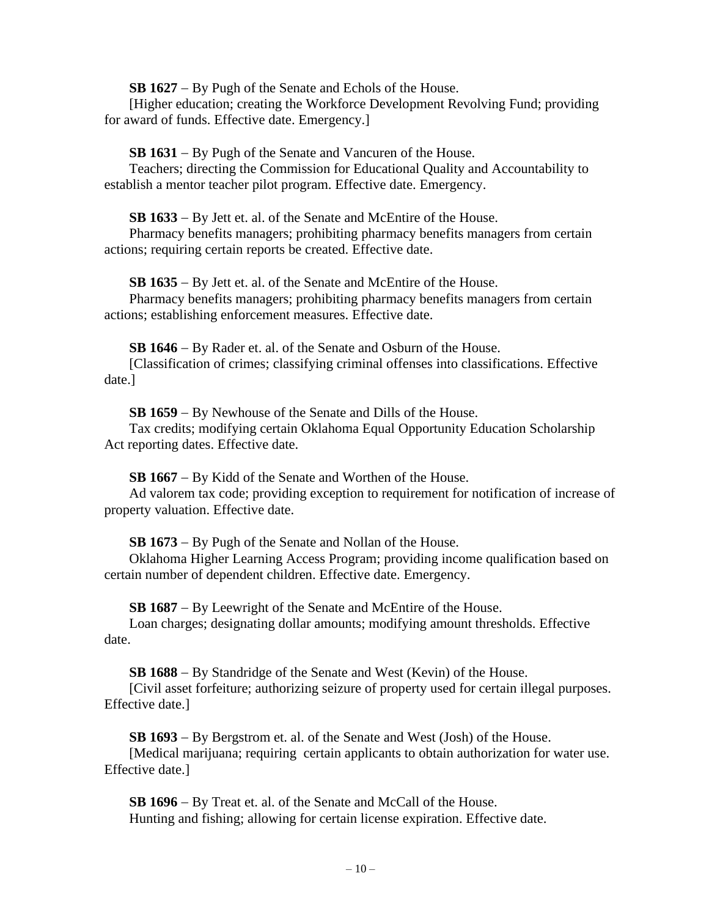**SB 1627** − By Pugh of the Senate and Echols of the House.

[Higher education; creating the Workforce Development Revolving Fund; providing for award of funds. Effective date. Emergency.]

**SB 1631** − By Pugh of the Senate and Vancuren of the House.

Teachers; directing the Commission for Educational Quality and Accountability to establish a mentor teacher pilot program. Effective date. Emergency.

**SB 1633** − By Jett et. al. of the Senate and McEntire of the House.

Pharmacy benefits managers; prohibiting pharmacy benefits managers from certain actions; requiring certain reports be created. Effective date.

**SB 1635** − By Jett et. al. of the Senate and McEntire of the House.

Pharmacy benefits managers; prohibiting pharmacy benefits managers from certain actions; establishing enforcement measures. Effective date.

**SB 1646** − By Rader et. al. of the Senate and Osburn of the House.

[Classification of crimes; classifying criminal offenses into classifications. Effective date.]

**SB 1659** − By Newhouse of the Senate and Dills of the House.

Tax credits; modifying certain Oklahoma Equal Opportunity Education Scholarship Act reporting dates. Effective date.

**SB 1667** − By Kidd of the Senate and Worthen of the House.

Ad valorem tax code; providing exception to requirement for notification of increase of property valuation. Effective date.

**SB 1673** − By Pugh of the Senate and Nollan of the House.

Oklahoma Higher Learning Access Program; providing income qualification based on certain number of dependent children. Effective date. Emergency.

**SB 1687** − By Leewright of the Senate and McEntire of the House.

Loan charges; designating dollar amounts; modifying amount thresholds. Effective date.

**SB 1688** − By Standridge of the Senate and West (Kevin) of the House.

[Civil asset forfeiture; authorizing seizure of property used for certain illegal purposes. Effective date.]

**SB 1693** − By Bergstrom et. al. of the Senate and West (Josh) of the House. [Medical marijuana; requiring certain applicants to obtain authorization for water use. Effective date.]

**SB 1696** − By Treat et. al. of the Senate and McCall of the House. Hunting and fishing; allowing for certain license expiration. Effective date.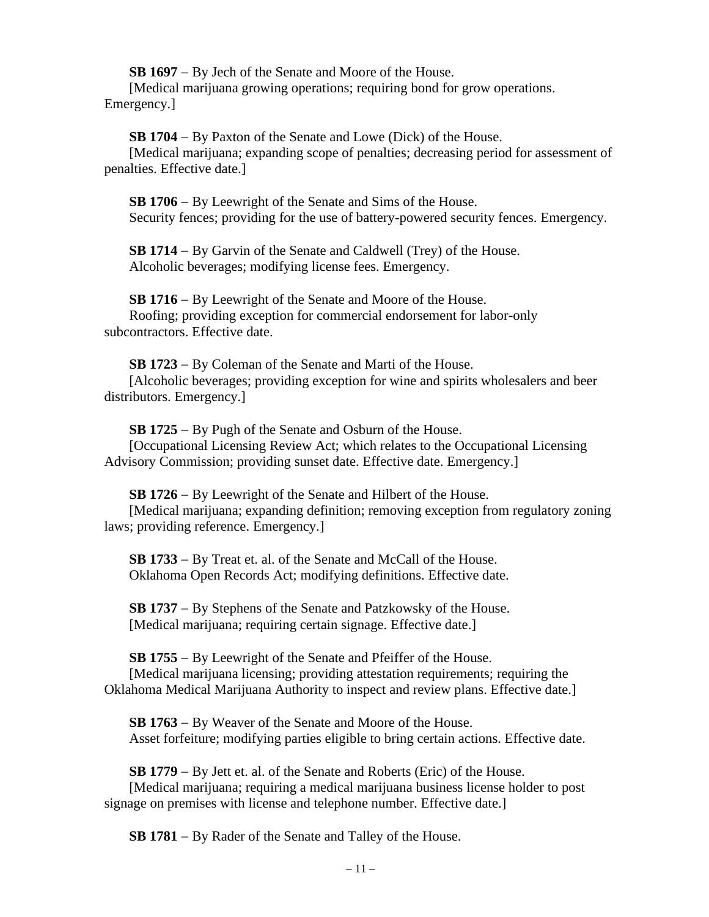**SB 1697** − By Jech of the Senate and Moore of the House.

[Medical marijuana growing operations; requiring bond for grow operations. Emergency.]

**SB 1704** − By Paxton of the Senate and Lowe (Dick) of the House.

[Medical marijuana; expanding scope of penalties; decreasing period for assessment of penalties. Effective date.]

**SB 1706** − By Leewright of the Senate and Sims of the House. Security fences; providing for the use of battery-powered security fences. Emergency.

**SB 1714** − By Garvin of the Senate and Caldwell (Trey) of the House. Alcoholic beverages; modifying license fees. Emergency.

**SB 1716** − By Leewright of the Senate and Moore of the House. Roofing; providing exception for commercial endorsement for labor-only subcontractors. Effective date.

**SB 1723** − By Coleman of the Senate and Marti of the House. [Alcoholic beverages; providing exception for wine and spirits wholesalers and beer distributors. Emergency.]

**SB 1725** − By Pugh of the Senate and Osburn of the House. [Occupational Licensing Review Act; which relates to the Occupational Licensing Advisory Commission; providing sunset date. Effective date. Emergency.]

**SB 1726** − By Leewright of the Senate and Hilbert of the House. [Medical marijuana; expanding definition; removing exception from regulatory zoning laws; providing reference. Emergency.]

**SB 1733** − By Treat et. al. of the Senate and McCall of the House. Oklahoma Open Records Act; modifying definitions. Effective date.

**SB 1737** − By Stephens of the Senate and Patzkowsky of the House. [Medical marijuana; requiring certain signage. Effective date.]

**SB 1755** − By Leewright of the Senate and Pfeiffer of the House. [Medical marijuana licensing; providing attestation requirements; requiring the Oklahoma Medical Marijuana Authority to inspect and review plans. Effective date.]

**SB 1763** − By Weaver of the Senate and Moore of the House. Asset forfeiture; modifying parties eligible to bring certain actions. Effective date.

**SB 1779** − By Jett et. al. of the Senate and Roberts (Eric) of the House. [Medical marijuana; requiring a medical marijuana business license holder to post signage on premises with license and telephone number. Effective date.]

**SB 1781** − By Rader of the Senate and Talley of the House.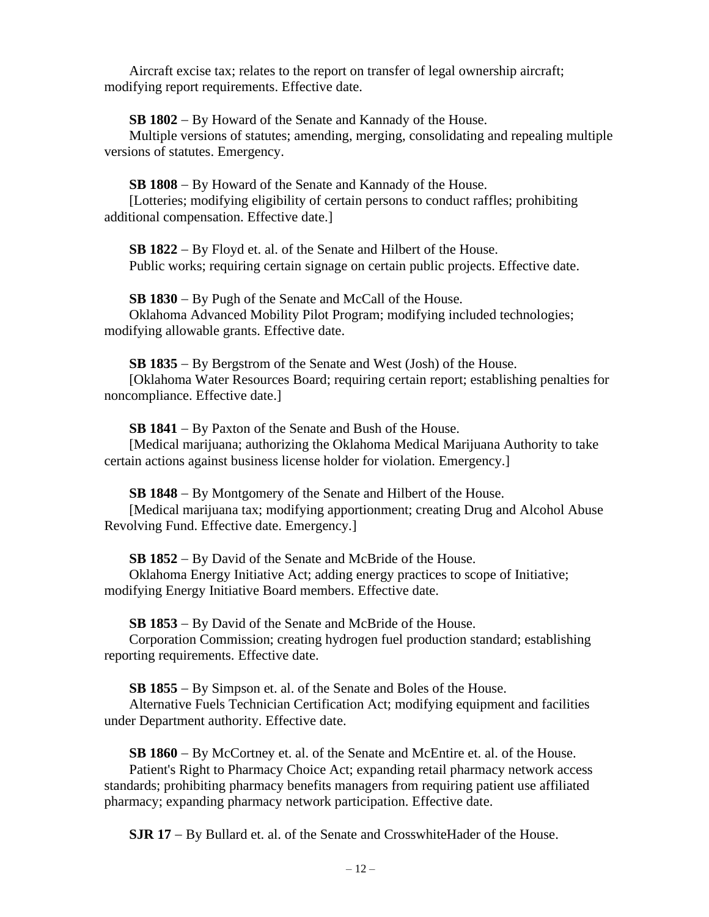Aircraft excise tax; relates to the report on transfer of legal ownership aircraft; modifying report requirements. Effective date.

**SB 1802** − By Howard of the Senate and Kannady of the House.

Multiple versions of statutes; amending, merging, consolidating and repealing multiple versions of statutes. Emergency.

**SB 1808** − By Howard of the Senate and Kannady of the House.

[Lotteries; modifying eligibility of certain persons to conduct raffles; prohibiting additional compensation. Effective date.]

**SB 1822** − By Floyd et. al. of the Senate and Hilbert of the House. Public works; requiring certain signage on certain public projects. Effective date.

**SB 1830** − By Pugh of the Senate and McCall of the House. Oklahoma Advanced Mobility Pilot Program; modifying included technologies; modifying allowable grants. Effective date.

**SB 1835** − By Bergstrom of the Senate and West (Josh) of the House. [Oklahoma Water Resources Board; requiring certain report; establishing penalties for noncompliance. Effective date.]

**SB 1841** − By Paxton of the Senate and Bush of the House.

[Medical marijuana; authorizing the Oklahoma Medical Marijuana Authority to take certain actions against business license holder for violation. Emergency.]

**SB 1848** − By Montgomery of the Senate and Hilbert of the House. [Medical marijuana tax; modifying apportionment; creating Drug and Alcohol Abuse Revolving Fund. Effective date. Emergency.]

**SB 1852** − By David of the Senate and McBride of the House.

Oklahoma Energy Initiative Act; adding energy practices to scope of Initiative; modifying Energy Initiative Board members. Effective date.

**SB 1853** − By David of the Senate and McBride of the House.

Corporation Commission; creating hydrogen fuel production standard; establishing reporting requirements. Effective date.

**SB 1855** − By Simpson et. al. of the Senate and Boles of the House.

Alternative Fuels Technician Certification Act; modifying equipment and facilities under Department authority. Effective date.

**SB 1860** − By McCortney et. al. of the Senate and McEntire et. al. of the House.

Patient's Right to Pharmacy Choice Act; expanding retail pharmacy network access standards; prohibiting pharmacy benefits managers from requiring patient use affiliated pharmacy; expanding pharmacy network participation. Effective date.

**SJR 17** − By Bullard et. al. of the Senate and CrosswhiteHader of the House.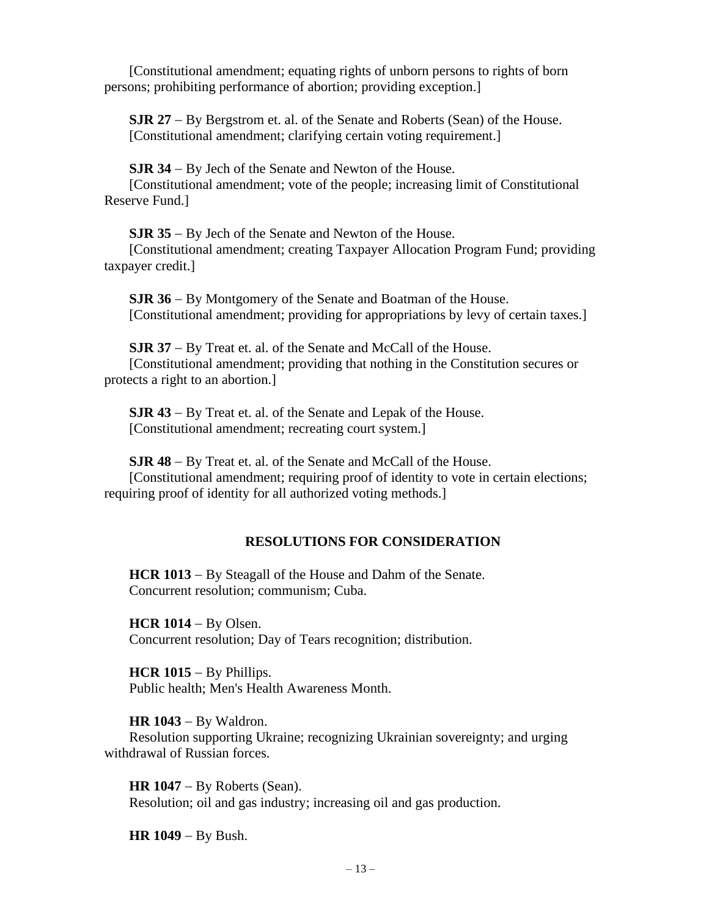[Constitutional amendment; equating rights of unborn persons to rights of born persons; prohibiting performance of abortion; providing exception.]

**SJR 27** − By Bergstrom et. al. of the Senate and Roberts (Sean) of the House. [Constitutional amendment; clarifying certain voting requirement.]

**SJR 34** − By Jech of the Senate and Newton of the House.

[Constitutional amendment; vote of the people; increasing limit of Constitutional Reserve Fund.]

**SJR 35** − By Jech of the Senate and Newton of the House.

[Constitutional amendment; creating Taxpayer Allocation Program Fund; providing taxpayer credit.]

**SJR 36** − By Montgomery of the Senate and Boatman of the House. [Constitutional amendment; providing for appropriations by levy of certain taxes.]

**SJR 37** − By Treat et. al. of the Senate and McCall of the House. [Constitutional amendment; providing that nothing in the Constitution secures or protects a right to an abortion.]

**SJR 43** − By Treat et. al. of the Senate and Lepak of the House. [Constitutional amendment; recreating court system.]

**SJR 48** − By Treat et. al. of the Senate and McCall of the House. [Constitutional amendment; requiring proof of identity to vote in certain elections; requiring proof of identity for all authorized voting methods.]

# **RESOLUTIONS FOR CONSIDERATION**

**HCR 1013** − By Steagall of the House and Dahm of the Senate. Concurrent resolution; communism; Cuba.

**HCR 1014** − By Olsen. Concurrent resolution; Day of Tears recognition; distribution.

**HCR 1015** − By Phillips. Public health; Men's Health Awareness Month.

**HR 1043** − By Waldron.

Resolution supporting Ukraine; recognizing Ukrainian sovereignty; and urging withdrawal of Russian forces.

**HR 1047** − By Roberts (Sean). Resolution; oil and gas industry; increasing oil and gas production.

**HR 1049** − By Bush.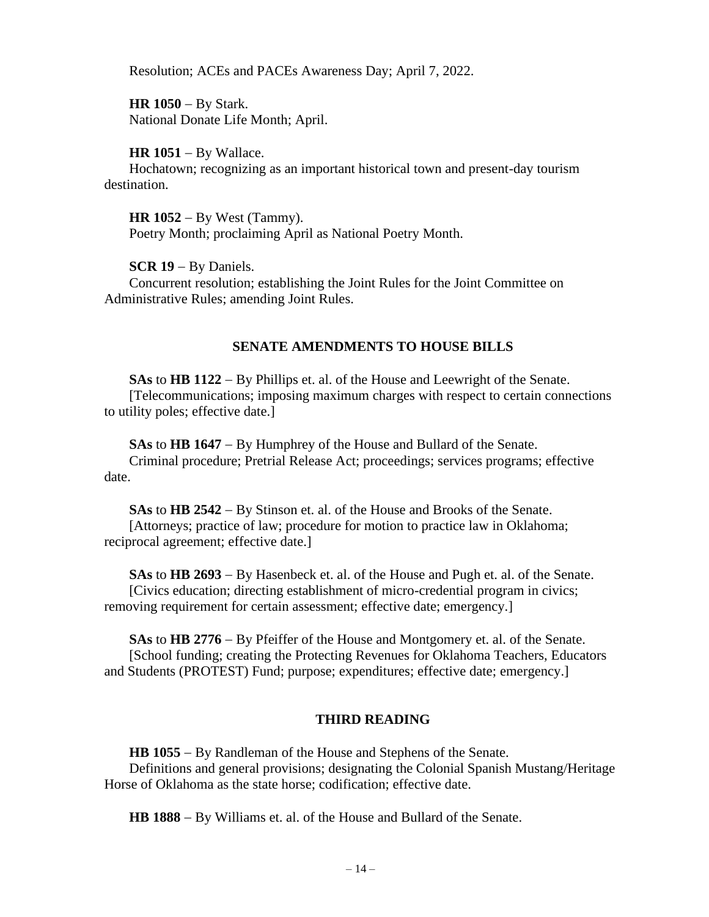Resolution; ACEs and PACEs Awareness Day; April 7, 2022.

**HR 1050** − By Stark. National Donate Life Month; April.

## **HR 1051** − By Wallace.

Hochatown; recognizing as an important historical town and present-day tourism destination.

**HR 1052** − By West (Tammy). Poetry Month; proclaiming April as National Poetry Month.

**SCR 19** − By Daniels.

Concurrent resolution; establishing the Joint Rules for the Joint Committee on Administrative Rules; amending Joint Rules.

# **SENATE AMENDMENTS TO HOUSE BILLS**

**SAs** to **HB 1122** − By Phillips et. al. of the House and Leewright of the Senate. [Telecommunications; imposing maximum charges with respect to certain connections to utility poles; effective date.]

**SAs** to **HB 1647** − By Humphrey of the House and Bullard of the Senate.

Criminal procedure; Pretrial Release Act; proceedings; services programs; effective date.

**SAs** to **HB 2542** − By Stinson et. al. of the House and Brooks of the Senate. [Attorneys; practice of law; procedure for motion to practice law in Oklahoma; reciprocal agreement; effective date.]

**SAs** to **HB 2693** − By Hasenbeck et. al. of the House and Pugh et. al. of the Senate. [Civics education; directing establishment of micro-credential program in civics; removing requirement for certain assessment; effective date; emergency.]

**SAs** to **HB 2776** − By Pfeiffer of the House and Montgomery et. al. of the Senate. [School funding; creating the Protecting Revenues for Oklahoma Teachers, Educators and Students (PROTEST) Fund; purpose; expenditures; effective date; emergency.]

# **THIRD READING**

**HB 1055** − By Randleman of the House and Stephens of the Senate. Definitions and general provisions; designating the Colonial Spanish Mustang/Heritage Horse of Oklahoma as the state horse; codification; effective date.

**HB 1888** − By Williams et. al. of the House and Bullard of the Senate.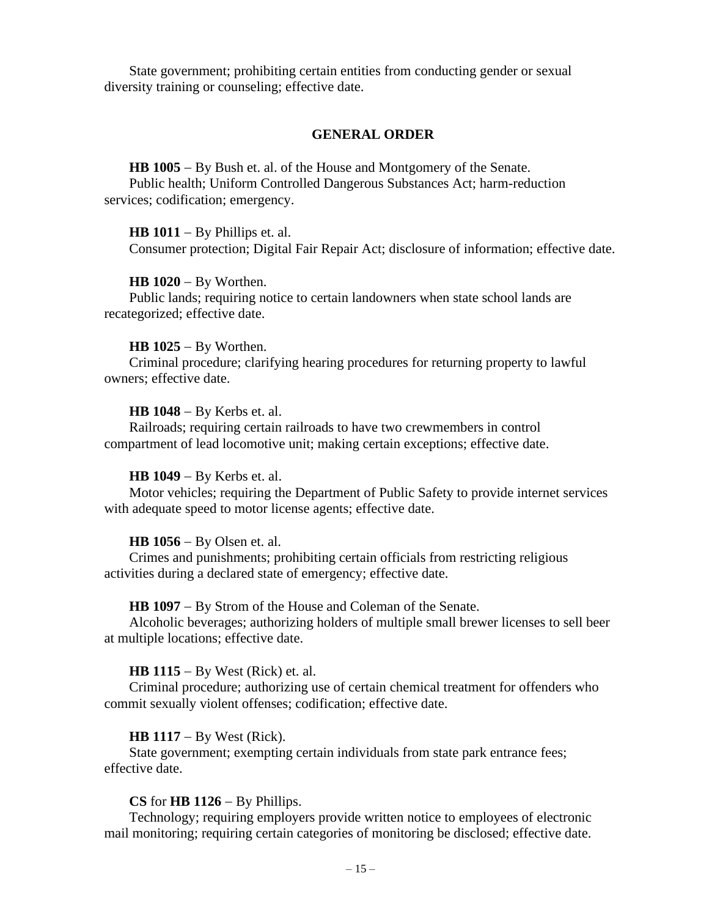State government; prohibiting certain entities from conducting gender or sexual diversity training or counseling; effective date.

#### **GENERAL ORDER**

**HB 1005** − By Bush et. al. of the House and Montgomery of the Senate. Public health; Uniform Controlled Dangerous Substances Act; harm-reduction services; codification; emergency.

#### **HB 1011** − By Phillips et. al.

Consumer protection; Digital Fair Repair Act; disclosure of information; effective date.

#### **HB 1020** − By Worthen.

Public lands; requiring notice to certain landowners when state school lands are recategorized; effective date.

#### **HB 1025** − By Worthen.

Criminal procedure; clarifying hearing procedures for returning property to lawful owners; effective date.

#### **HB 1048** − By Kerbs et. al.

Railroads; requiring certain railroads to have two crewmembers in control compartment of lead locomotive unit; making certain exceptions; effective date.

## **HB 1049** − By Kerbs et. al.

Motor vehicles; requiring the Department of Public Safety to provide internet services with adequate speed to motor license agents; effective date.

#### **HB 1056** − By Olsen et. al.

Crimes and punishments; prohibiting certain officials from restricting religious activities during a declared state of emergency; effective date.

#### **HB 1097** − By Strom of the House and Coleman of the Senate.

Alcoholic beverages; authorizing holders of multiple small brewer licenses to sell beer at multiple locations; effective date.

#### **HB 1115** − By West (Rick) et. al.

Criminal procedure; authorizing use of certain chemical treatment for offenders who commit sexually violent offenses; codification; effective date.

#### **HB 1117** − By West (Rick).

State government; exempting certain individuals from state park entrance fees; effective date.

## **CS** for **HB 1126** − By Phillips.

Technology; requiring employers provide written notice to employees of electronic mail monitoring; requiring certain categories of monitoring be disclosed; effective date.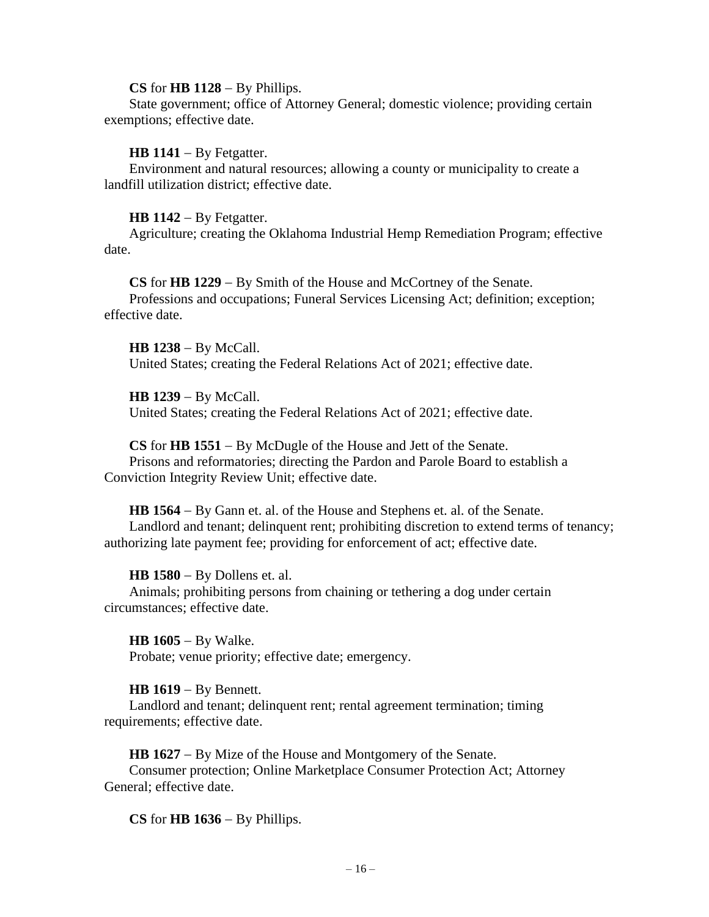## **CS** for **HB 1128** − By Phillips.

State government; office of Attorney General; domestic violence; providing certain exemptions; effective date.

### **HB 1141** − By Fetgatter.

Environment and natural resources; allowing a county or municipality to create a landfill utilization district; effective date.

### **HB 1142** − By Fetgatter.

Agriculture; creating the Oklahoma Industrial Hemp Remediation Program; effective date.

**CS** for **HB 1229** − By Smith of the House and McCortney of the Senate. Professions and occupations; Funeral Services Licensing Act; definition; exception; effective date.

**HB 1238** − By McCall. United States; creating the Federal Relations Act of 2021; effective date.

**HB 1239** − By McCall.

United States; creating the Federal Relations Act of 2021; effective date.

**CS** for **HB 1551** − By McDugle of the House and Jett of the Senate.

Prisons and reformatories; directing the Pardon and Parole Board to establish a Conviction Integrity Review Unit; effective date.

**HB 1564** − By Gann et. al. of the House and Stephens et. al. of the Senate. Landlord and tenant; delinquent rent; prohibiting discretion to extend terms of tenancy; authorizing late payment fee; providing for enforcement of act; effective date.

#### **HB 1580** − By Dollens et. al.

Animals; prohibiting persons from chaining or tethering a dog under certain circumstances; effective date.

**HB 1605** − By Walke. Probate; venue priority; effective date; emergency.

## **HB 1619** − By Bennett.

Landlord and tenant; delinquent rent; rental agreement termination; timing requirements; effective date.

**HB 1627** − By Mize of the House and Montgomery of the Senate.

Consumer protection; Online Marketplace Consumer Protection Act; Attorney General; effective date.

**CS** for **HB 1636** − By Phillips.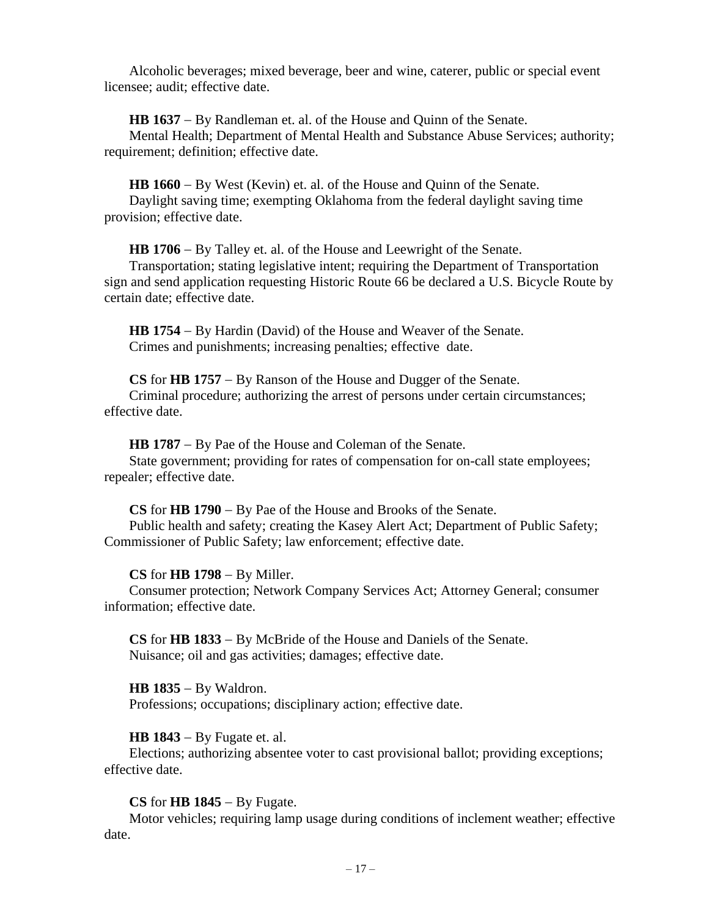Alcoholic beverages; mixed beverage, beer and wine, caterer, public or special event licensee; audit; effective date.

**HB 1637** − By Randleman et. al. of the House and Quinn of the Senate.

Mental Health; Department of Mental Health and Substance Abuse Services; authority; requirement; definition; effective date.

**HB 1660** − By West (Kevin) et. al. of the House and Quinn of the Senate. Daylight saving time; exempting Oklahoma from the federal daylight saving time provision; effective date.

**HB 1706** − By Talley et. al. of the House and Leewright of the Senate. Transportation; stating legislative intent; requiring the Department of Transportation sign and send application requesting Historic Route 66 be declared a U.S. Bicycle Route by certain date; effective date.

**HB 1754** − By Hardin (David) of the House and Weaver of the Senate. Crimes and punishments; increasing penalties; effective date.

**CS** for **HB 1757** − By Ranson of the House and Dugger of the Senate. Criminal procedure; authorizing the arrest of persons under certain circumstances; effective date.

**HB 1787** − By Pae of the House and Coleman of the Senate.

State government; providing for rates of compensation for on-call state employees; repealer; effective date.

**CS** for **HB 1790** − By Pae of the House and Brooks of the Senate. Public health and safety; creating the Kasey Alert Act; Department of Public Safety; Commissioner of Public Safety; law enforcement; effective date.

# **CS** for **HB 1798** − By Miller.

Consumer protection; Network Company Services Act; Attorney General; consumer information; effective date.

**CS** for **HB 1833** − By McBride of the House and Daniels of the Senate. Nuisance; oil and gas activities; damages; effective date.

**HB 1835** − By Waldron. Professions; occupations; disciplinary action; effective date.

# **HB 1843** − By Fugate et. al.

Elections; authorizing absentee voter to cast provisional ballot; providing exceptions; effective date.

# **CS** for **HB 1845** − By Fugate.

Motor vehicles; requiring lamp usage during conditions of inclement weather; effective date.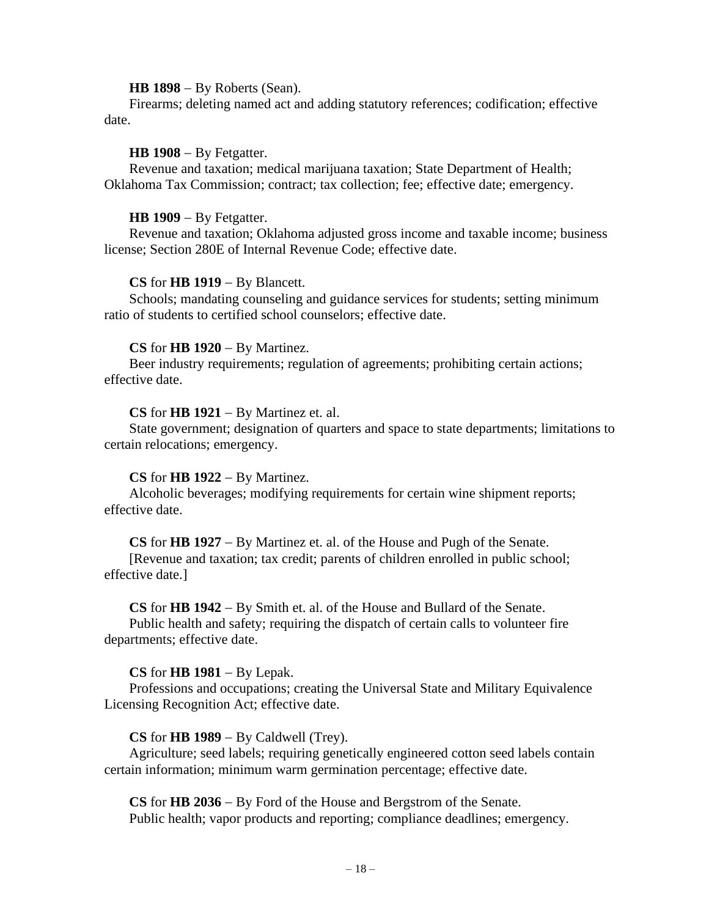#### **HB 1898** − By Roberts (Sean).

Firearms; deleting named act and adding statutory references; codification; effective date.

## **HB 1908** − By Fetgatter.

Revenue and taxation; medical marijuana taxation; State Department of Health; Oklahoma Tax Commission; contract; tax collection; fee; effective date; emergency.

### **HB 1909** − By Fetgatter.

Revenue and taxation; Oklahoma adjusted gross income and taxable income; business license; Section 280E of Internal Revenue Code; effective date.

### **CS** for **HB 1919** − By Blancett.

Schools; mandating counseling and guidance services for students; setting minimum ratio of students to certified school counselors; effective date.

### **CS** for **HB 1920** − By Martinez.

Beer industry requirements; regulation of agreements; prohibiting certain actions; effective date.

#### **CS** for **HB 1921** − By Martinez et. al.

State government; designation of quarters and space to state departments; limitations to certain relocations; emergency.

## **CS** for **HB 1922** − By Martinez.

Alcoholic beverages; modifying requirements for certain wine shipment reports; effective date.

#### **CS** for **HB 1927** − By Martinez et. al. of the House and Pugh of the Senate.

[Revenue and taxation; tax credit; parents of children enrolled in public school; effective date.]

#### **CS** for **HB 1942** − By Smith et. al. of the House and Bullard of the Senate.

Public health and safety; requiring the dispatch of certain calls to volunteer fire departments; effective date.

## **CS** for **HB 1981** − By Lepak.

Professions and occupations; creating the Universal State and Military Equivalence Licensing Recognition Act; effective date.

## **CS** for **HB 1989** − By Caldwell (Trey).

Agriculture; seed labels; requiring genetically engineered cotton seed labels contain certain information; minimum warm germination percentage; effective date.

**CS** for **HB 2036** − By Ford of the House and Bergstrom of the Senate. Public health; vapor products and reporting; compliance deadlines; emergency.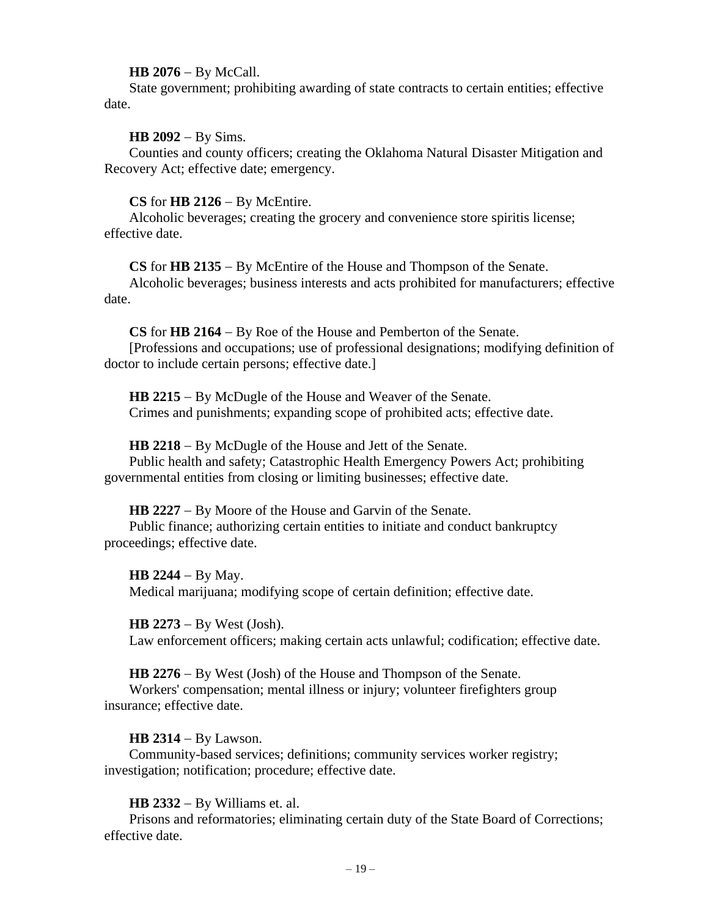#### **HB 2076** − By McCall.

State government; prohibiting awarding of state contracts to certain entities; effective date.

## **HB 2092** − By Sims.

Counties and county officers; creating the Oklahoma Natural Disaster Mitigation and Recovery Act; effective date; emergency.

### **CS** for **HB 2126** − By McEntire.

Alcoholic beverages; creating the grocery and convenience store spiritis license; effective date.

#### **CS** for **HB 2135** − By McEntire of the House and Thompson of the Senate.

Alcoholic beverages; business interests and acts prohibited for manufacturers; effective date.

**CS** for **HB 2164** − By Roe of the House and Pemberton of the Senate.

[Professions and occupations; use of professional designations; modifying definition of doctor to include certain persons; effective date.]

**HB 2215** − By McDugle of the House and Weaver of the Senate. Crimes and punishments; expanding scope of prohibited acts; effective date.

**HB 2218** − By McDugle of the House and Jett of the Senate.

Public health and safety; Catastrophic Health Emergency Powers Act; prohibiting governmental entities from closing or limiting businesses; effective date.

**HB 2227** − By Moore of the House and Garvin of the Senate.

Public finance; authorizing certain entities to initiate and conduct bankruptcy proceedings; effective date.

**HB 2244** − By May. Medical marijuana; modifying scope of certain definition; effective date.

**HB 2273** − By West (Josh). Law enforcement officers; making certain acts unlawful; codification; effective date.

**HB 2276** − By West (Josh) of the House and Thompson of the Senate.

Workers' compensation; mental illness or injury; volunteer firefighters group insurance; effective date.

**HB 2314** − By Lawson.

Community-based services; definitions; community services worker registry; investigation; notification; procedure; effective date.

**HB 2332** − By Williams et. al.

Prisons and reformatories; eliminating certain duty of the State Board of Corrections; effective date.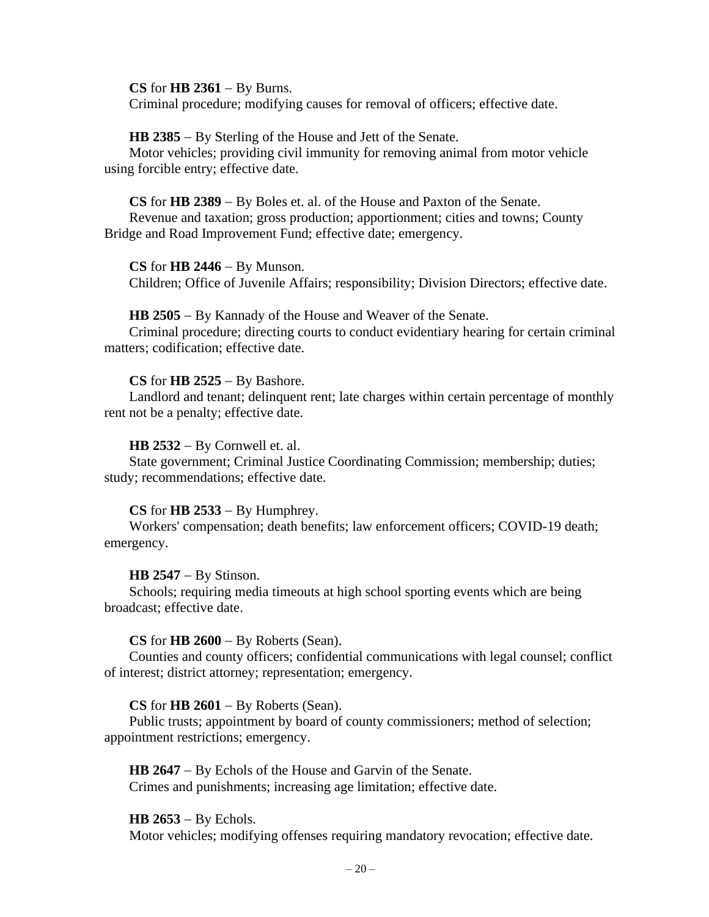#### **CS** for **HB 2361** − By Burns.

Criminal procedure; modifying causes for removal of officers; effective date.

#### **HB 2385** − By Sterling of the House and Jett of the Senate.

Motor vehicles; providing civil immunity for removing animal from motor vehicle using forcible entry; effective date.

#### **CS** for **HB 2389** − By Boles et. al. of the House and Paxton of the Senate.

Revenue and taxation; gross production; apportionment; cities and towns; County Bridge and Road Improvement Fund; effective date; emergency.

#### **CS** for **HB 2446** − By Munson.

Children; Office of Juvenile Affairs; responsibility; Division Directors; effective date.

#### **HB 2505** − By Kannady of the House and Weaver of the Senate.

Criminal procedure; directing courts to conduct evidentiary hearing for certain criminal matters; codification; effective date.

## **CS** for **HB 2525** − By Bashore.

Landlord and tenant; delinquent rent; late charges within certain percentage of monthly rent not be a penalty; effective date.

#### **HB 2532** − By Cornwell et. al.

State government; Criminal Justice Coordinating Commission; membership; duties; study; recommendations; effective date.

#### **CS** for **HB 2533** − By Humphrey.

Workers' compensation; death benefits; law enforcement officers; COVID-19 death; emergency.

#### **HB 2547** − By Stinson.

Schools; requiring media timeouts at high school sporting events which are being broadcast; effective date.

#### **CS** for **HB 2600** − By Roberts (Sean).

Counties and county officers; confidential communications with legal counsel; conflict of interest; district attorney; representation; emergency.

#### **CS** for **HB 2601** − By Roberts (Sean).

Public trusts; appointment by board of county commissioners; method of selection; appointment restrictions; emergency.

**HB 2647** − By Echols of the House and Garvin of the Senate. Crimes and punishments; increasing age limitation; effective date.

#### **HB 2653** − By Echols.

Motor vehicles; modifying offenses requiring mandatory revocation; effective date.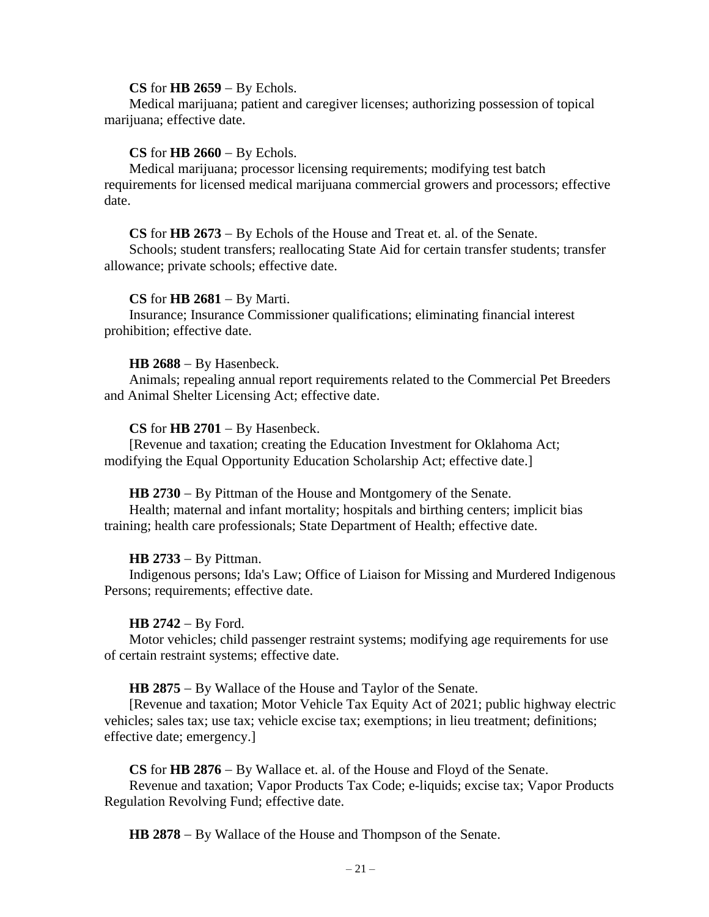#### **CS** for **HB 2659** − By Echols.

Medical marijuana; patient and caregiver licenses; authorizing possession of topical marijuana; effective date.

## **CS** for **HB 2660** − By Echols.

Medical marijuana; processor licensing requirements; modifying test batch requirements for licensed medical marijuana commercial growers and processors; effective date.

#### **CS** for **HB 2673** − By Echols of the House and Treat et. al. of the Senate.

Schools; student transfers; reallocating State Aid for certain transfer students; transfer allowance; private schools; effective date.

## **CS** for **HB 2681** − By Marti.

Insurance; Insurance Commissioner qualifications; eliminating financial interest prohibition; effective date.

### **HB 2688** − By Hasenbeck.

Animals; repealing annual report requirements related to the Commercial Pet Breeders and Animal Shelter Licensing Act; effective date.

## **CS** for **HB 2701** − By Hasenbeck.

[Revenue and taxation; creating the Education Investment for Oklahoma Act; modifying the Equal Opportunity Education Scholarship Act; effective date.]

## **HB 2730** − By Pittman of the House and Montgomery of the Senate.

Health; maternal and infant mortality; hospitals and birthing centers; implicit bias training; health care professionals; State Department of Health; effective date.

## **HB 2733** − By Pittman.

Indigenous persons; Ida's Law; Office of Liaison for Missing and Murdered Indigenous Persons; requirements; effective date.

#### **HB 2742** − By Ford.

Motor vehicles; child passenger restraint systems; modifying age requirements for use of certain restraint systems; effective date.

#### **HB 2875** − By Wallace of the House and Taylor of the Senate.

[Revenue and taxation; Motor Vehicle Tax Equity Act of 2021; public highway electric vehicles; sales tax; use tax; vehicle excise tax; exemptions; in lieu treatment; definitions; effective date; emergency.]

#### **CS** for **HB 2876** − By Wallace et. al. of the House and Floyd of the Senate.

Revenue and taxation; Vapor Products Tax Code; e-liquids; excise tax; Vapor Products Regulation Revolving Fund; effective date.

**HB 2878** − By Wallace of the House and Thompson of the Senate.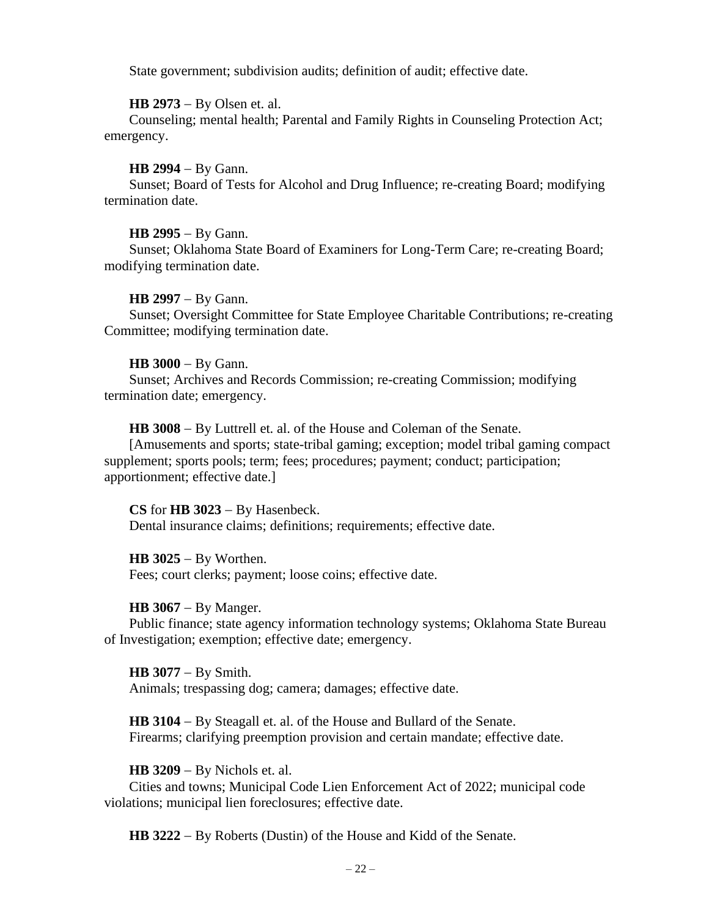State government; subdivision audits; definition of audit; effective date.

**HB 2973** − By Olsen et. al.

Counseling; mental health; Parental and Family Rights in Counseling Protection Act; emergency.

**HB 2994** − By Gann.

Sunset; Board of Tests for Alcohol and Drug Influence; re-creating Board; modifying termination date.

**HB 2995** − By Gann.

Sunset; Oklahoma State Board of Examiners for Long-Term Care; re-creating Board; modifying termination date.

**HB 2997** − By Gann.

Sunset; Oversight Committee for State Employee Charitable Contributions; re-creating Committee; modifying termination date.

### **HB 3000** − By Gann.

Sunset; Archives and Records Commission; re-creating Commission; modifying termination date; emergency.

**HB 3008** − By Luttrell et. al. of the House and Coleman of the Senate.

[Amusements and sports; state-tribal gaming; exception; model tribal gaming compact supplement; sports pools; term; fees; procedures; payment; conduct; participation; apportionment; effective date.]

**CS** for **HB 3023** − By Hasenbeck. Dental insurance claims; definitions; requirements; effective date.

**HB 3025** − By Worthen. Fees; court clerks; payment; loose coins; effective date.

**HB 3067** − By Manger.

Public finance; state agency information technology systems; Oklahoma State Bureau of Investigation; exemption; effective date; emergency.

**HB 3077** − By Smith. Animals; trespassing dog; camera; damages; effective date.

**HB 3104** − By Steagall et. al. of the House and Bullard of the Senate. Firearms; clarifying preemption provision and certain mandate; effective date.

**HB 3209** − By Nichols et. al.

Cities and towns; Municipal Code Lien Enforcement Act of 2022; municipal code violations; municipal lien foreclosures; effective date.

**HB 3222** − By Roberts (Dustin) of the House and Kidd of the Senate.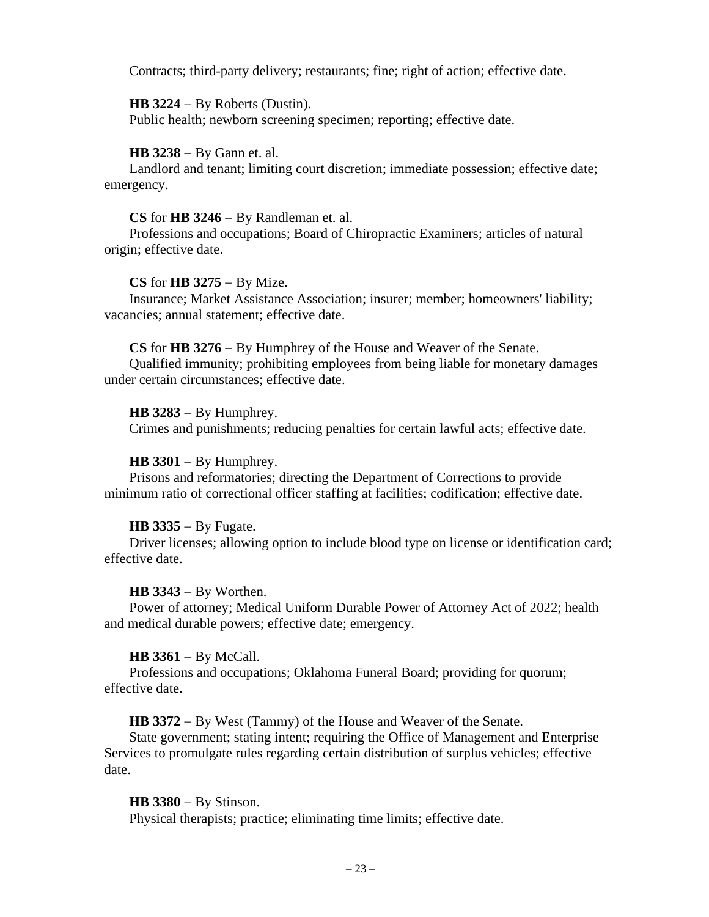Contracts; third-party delivery; restaurants; fine; right of action; effective date.

## **HB 3224** − By Roberts (Dustin).

Public health; newborn screening specimen; reporting; effective date.

## **HB 3238** − By Gann et. al.

Landlord and tenant; limiting court discretion; immediate possession; effective date; emergency.

## **CS** for **HB 3246** − By Randleman et. al.

Professions and occupations; Board of Chiropractic Examiners; articles of natural origin; effective date.

## **CS** for **HB 3275** − By Mize.

Insurance; Market Assistance Association; insurer; member; homeowners' liability; vacancies; annual statement; effective date.

## **CS** for **HB 3276** − By Humphrey of the House and Weaver of the Senate.

Qualified immunity; prohibiting employees from being liable for monetary damages under certain circumstances; effective date.

## **HB 3283** − By Humphrey.

Crimes and punishments; reducing penalties for certain lawful acts; effective date.

## **HB 3301** − By Humphrey.

Prisons and reformatories; directing the Department of Corrections to provide minimum ratio of correctional officer staffing at facilities; codification; effective date.

## **HB 3335** − By Fugate.

Driver licenses; allowing option to include blood type on license or identification card; effective date.

## **HB 3343** − By Worthen.

Power of attorney; Medical Uniform Durable Power of Attorney Act of 2022; health and medical durable powers; effective date; emergency.

## **HB 3361** − By McCall.

Professions and occupations; Oklahoma Funeral Board; providing for quorum; effective date.

**HB 3372** − By West (Tammy) of the House and Weaver of the Senate.

State government; stating intent; requiring the Office of Management and Enterprise Services to promulgate rules regarding certain distribution of surplus vehicles; effective date.

## **HB 3380** − By Stinson.

Physical therapists; practice; eliminating time limits; effective date.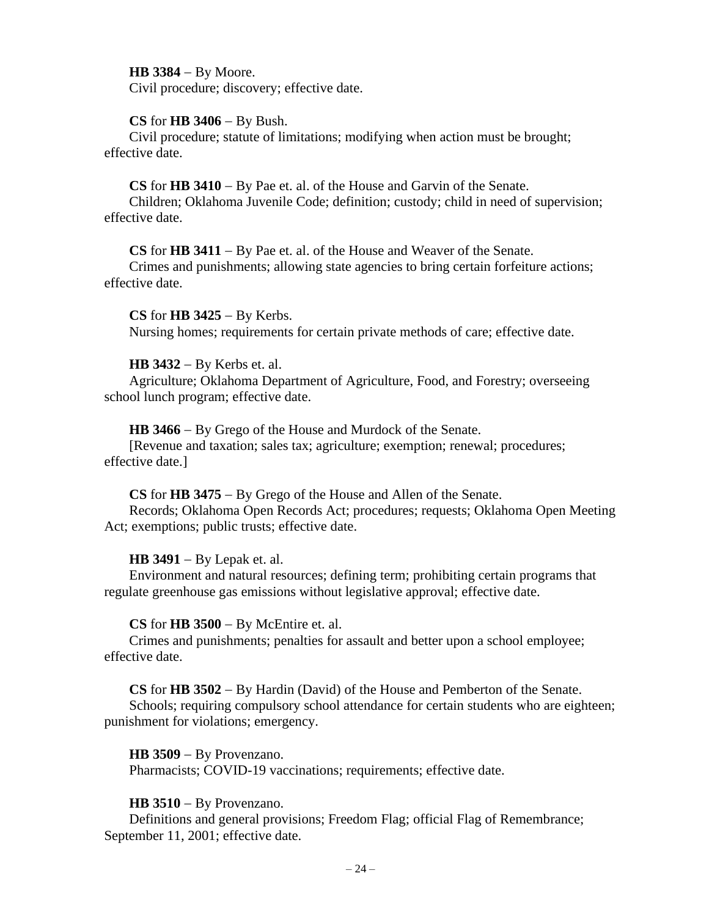**HB 3384** − By Moore.

Civil procedure; discovery; effective date.

## **CS** for **HB 3406** − By Bush.

Civil procedure; statute of limitations; modifying when action must be brought; effective date.

**CS** for **HB 3410** − By Pae et. al. of the House and Garvin of the Senate.

Children; Oklahoma Juvenile Code; definition; custody; child in need of supervision; effective date.

**CS** for **HB 3411** − By Pae et. al. of the House and Weaver of the Senate.

Crimes and punishments; allowing state agencies to bring certain forfeiture actions; effective date.

**CS** for **HB 3425** − By Kerbs.

Nursing homes; requirements for certain private methods of care; effective date.

## **HB 3432** − By Kerbs et. al.

Agriculture; Oklahoma Department of Agriculture, Food, and Forestry; overseeing school lunch program; effective date.

**HB 3466** − By Grego of the House and Murdock of the Senate.

[Revenue and taxation; sales tax; agriculture; exemption; renewal; procedures; effective date.]

**CS** for **HB 3475** − By Grego of the House and Allen of the Senate. Records; Oklahoma Open Records Act; procedures; requests; Oklahoma Open Meeting Act; exemptions; public trusts; effective date.

# **HB 3491** − By Lepak et. al.

Environment and natural resources; defining term; prohibiting certain programs that regulate greenhouse gas emissions without legislative approval; effective date.

**CS** for **HB 3500** − By McEntire et. al.

Crimes and punishments; penalties for assault and better upon a school employee; effective date.

**CS** for **HB 3502** − By Hardin (David) of the House and Pemberton of the Senate.

Schools; requiring compulsory school attendance for certain students who are eighteen; punishment for violations; emergency.

**HB 3509** − By Provenzano.

Pharmacists; COVID-19 vaccinations; requirements; effective date.

# **HB 3510** − By Provenzano.

Definitions and general provisions; Freedom Flag; official Flag of Remembrance; September 11, 2001; effective date.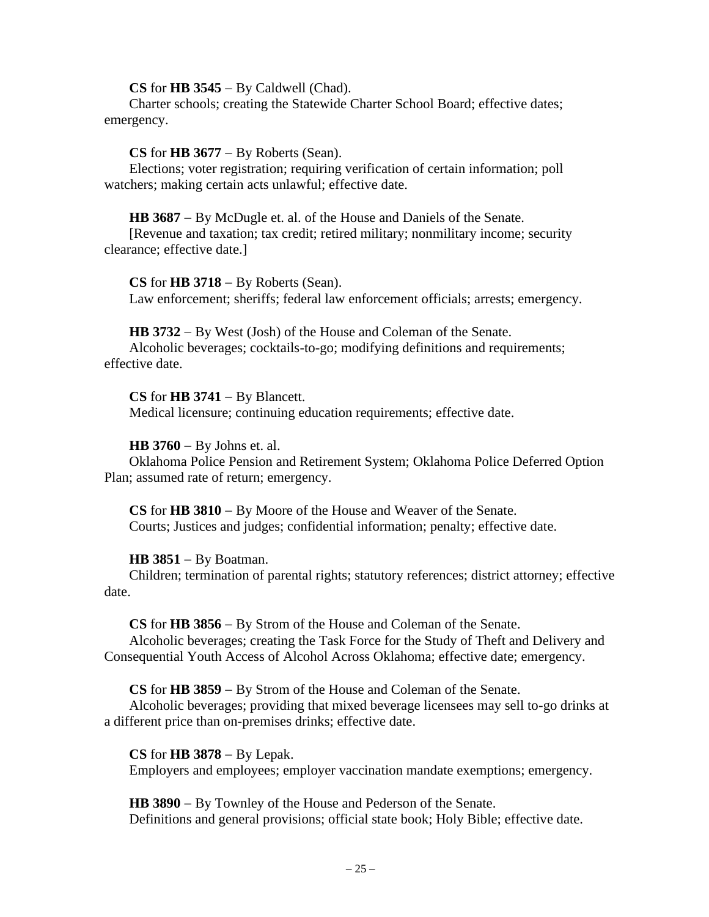**CS** for **HB 3545** − By Caldwell (Chad).

Charter schools; creating the Statewide Charter School Board; effective dates; emergency.

#### **CS** for **HB 3677** − By Roberts (Sean).

Elections; voter registration; requiring verification of certain information; poll watchers; making certain acts unlawful; effective date.

**HB 3687** − By McDugle et. al. of the House and Daniels of the Senate.

[Revenue and taxation; tax credit; retired military; nonmilitary income; security clearance; effective date.]

**CS** for **HB 3718** − By Roberts (Sean).

Law enforcement; sheriffs; federal law enforcement officials; arrests; emergency.

**HB 3732** − By West (Josh) of the House and Coleman of the Senate.

Alcoholic beverages; cocktails-to-go; modifying definitions and requirements; effective date.

#### **CS** for **HB 3741** − By Blancett.

Medical licensure; continuing education requirements; effective date.

#### **HB 3760** − By Johns et. al.

Oklahoma Police Pension and Retirement System; Oklahoma Police Deferred Option Plan; assumed rate of return; emergency.

**CS** for **HB 3810** − By Moore of the House and Weaver of the Senate. Courts; Justices and judges; confidential information; penalty; effective date.

## **HB 3851** − By Boatman.

Children; termination of parental rights; statutory references; district attorney; effective date.

**CS** for **HB 3856** − By Strom of the House and Coleman of the Senate.

Alcoholic beverages; creating the Task Force for the Study of Theft and Delivery and Consequential Youth Access of Alcohol Across Oklahoma; effective date; emergency.

**CS** for **HB 3859** − By Strom of the House and Coleman of the Senate.

Alcoholic beverages; providing that mixed beverage licensees may sell to-go drinks at a different price than on-premises drinks; effective date.

**CS** for **HB 3878** − By Lepak. Employers and employees; employer vaccination mandate exemptions; emergency.

**HB 3890** − By Townley of the House and Pederson of the Senate. Definitions and general provisions; official state book; Holy Bible; effective date.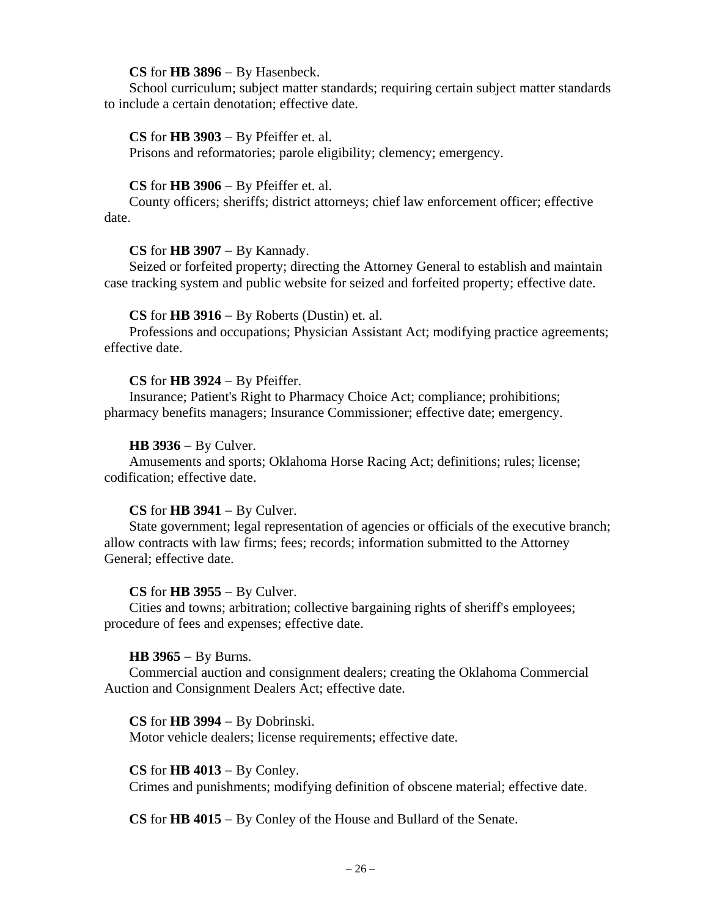## **CS** for **HB 3896** − By Hasenbeck.

School curriculum; subject matter standards; requiring certain subject matter standards to include a certain denotation; effective date.

## **CS** for **HB 3903** − By Pfeiffer et. al.

Prisons and reformatories; parole eligibility; clemency; emergency.

#### **CS** for **HB 3906** − By Pfeiffer et. al.

County officers; sheriffs; district attorneys; chief law enforcement officer; effective date.

### **CS** for **HB 3907** − By Kannady.

Seized or forfeited property; directing the Attorney General to establish and maintain case tracking system and public website for seized and forfeited property; effective date.

### **CS** for **HB 3916** − By Roberts (Dustin) et. al.

Professions and occupations; Physician Assistant Act; modifying practice agreements; effective date.

### **CS** for **HB 3924** − By Pfeiffer.

Insurance; Patient's Right to Pharmacy Choice Act; compliance; prohibitions; pharmacy benefits managers; Insurance Commissioner; effective date; emergency.

### **HB 3936** − By Culver.

Amusements and sports; Oklahoma Horse Racing Act; definitions; rules; license; codification; effective date.

## **CS** for **HB 3941** − By Culver.

State government; legal representation of agencies or officials of the executive branch; allow contracts with law firms; fees; records; information submitted to the Attorney General; effective date.

#### **CS** for **HB 3955** − By Culver.

Cities and towns; arbitration; collective bargaining rights of sheriff's employees; procedure of fees and expenses; effective date.

#### **HB 3965** − By Burns.

Commercial auction and consignment dealers; creating the Oklahoma Commercial Auction and Consignment Dealers Act; effective date.

#### **CS** for **HB 3994** − By Dobrinski.

Motor vehicle dealers; license requirements; effective date.

## **CS** for **HB 4013** − By Conley.

Crimes and punishments; modifying definition of obscene material; effective date.

**CS** for **HB 4015** − By Conley of the House and Bullard of the Senate.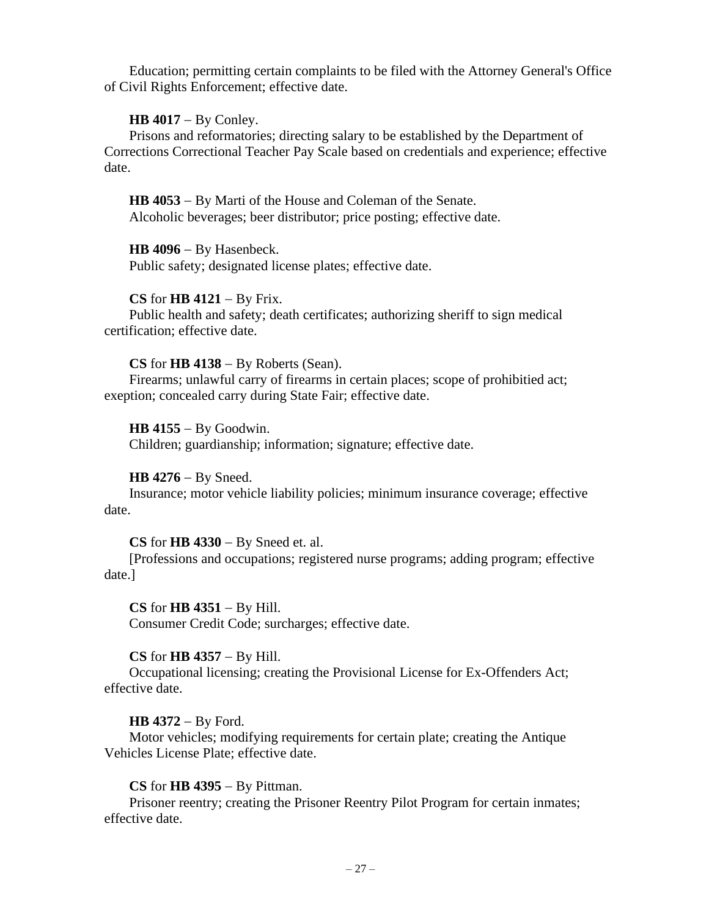Education; permitting certain complaints to be filed with the Attorney General's Office of Civil Rights Enforcement; effective date.

## **HB 4017** − By Conley.

Prisons and reformatories; directing salary to be established by the Department of Corrections Correctional Teacher Pay Scale based on credentials and experience; effective date.

**HB 4053** − By Marti of the House and Coleman of the Senate. Alcoholic beverages; beer distributor; price posting; effective date.

**HB 4096** − By Hasenbeck.

Public safety; designated license plates; effective date.

## **CS** for **HB 4121** − By Frix.

Public health and safety; death certificates; authorizing sheriff to sign medical certification; effective date.

## **CS** for **HB 4138** − By Roberts (Sean).

Firearms; unlawful carry of firearms in certain places; scope of prohibitied act; exeption; concealed carry during State Fair; effective date.

**HB 4155** − By Goodwin.

Children; guardianship; information; signature; effective date.

# **HB 4276** − By Sneed.

Insurance; motor vehicle liability policies; minimum insurance coverage; effective date.

## **CS** for **HB 4330** − By Sneed et. al.

[Professions and occupations; registered nurse programs; adding program; effective date.]

**CS** for **HB 4351** − By Hill. Consumer Credit Code; surcharges; effective date.

# **CS** for **HB 4357** − By Hill.

Occupational licensing; creating the Provisional License for Ex-Offenders Act; effective date.

# **HB 4372** − By Ford.

Motor vehicles; modifying requirements for certain plate; creating the Antique Vehicles License Plate; effective date.

# **CS** for **HB 4395** − By Pittman.

Prisoner reentry; creating the Prisoner Reentry Pilot Program for certain inmates; effective date.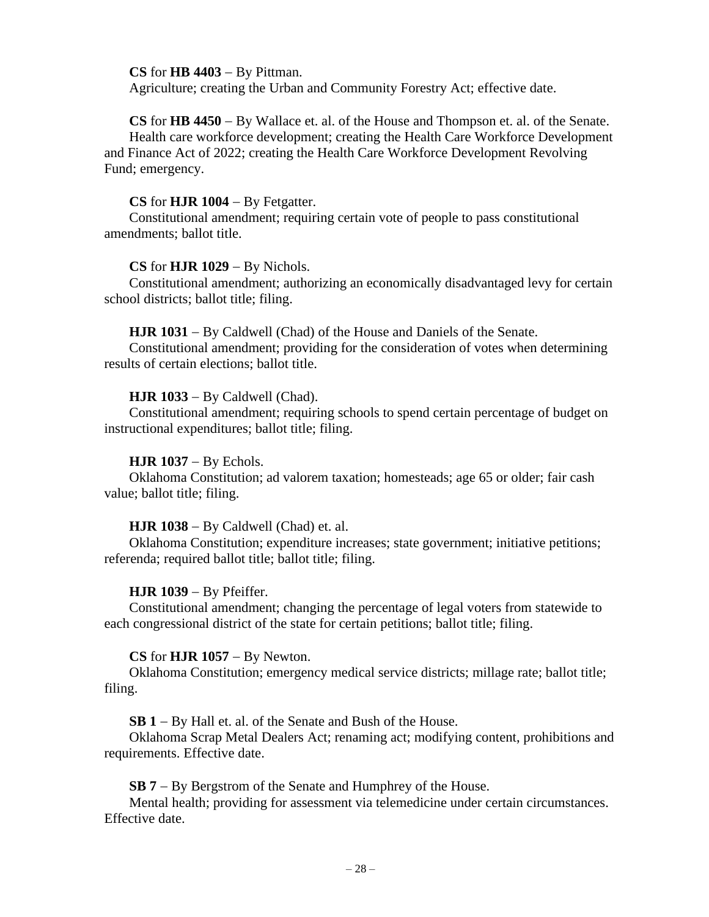## **CS** for **HB 4403** − By Pittman.

Agriculture; creating the Urban and Community Forestry Act; effective date.

**CS** for **HB 4450** − By Wallace et. al. of the House and Thompson et. al. of the Senate. Health care workforce development; creating the Health Care Workforce Development and Finance Act of 2022; creating the Health Care Workforce Development Revolving Fund; emergency.

## **CS** for **HJR 1004** − By Fetgatter.

Constitutional amendment; requiring certain vote of people to pass constitutional amendments; ballot title.

## **CS** for **HJR 1029** − By Nichols.

Constitutional amendment; authorizing an economically disadvantaged levy for certain school districts; ballot title; filing.

**HJR 1031** − By Caldwell (Chad) of the House and Daniels of the Senate.

Constitutional amendment; providing for the consideration of votes when determining results of certain elections; ballot title.

## **HJR 1033** − By Caldwell (Chad).

Constitutional amendment; requiring schools to spend certain percentage of budget on instructional expenditures; ballot title; filing.

## **HJR 1037** − By Echols.

Oklahoma Constitution; ad valorem taxation; homesteads; age 65 or older; fair cash value; ballot title; filing.

## **HJR 1038** − By Caldwell (Chad) et. al.

Oklahoma Constitution; expenditure increases; state government; initiative petitions; referenda; required ballot title; ballot title; filing.

# **HJR 1039** − By Pfeiffer.

Constitutional amendment; changing the percentage of legal voters from statewide to each congressional district of the state for certain petitions; ballot title; filing.

# **CS** for **HJR 1057** − By Newton.

Oklahoma Constitution; emergency medical service districts; millage rate; ballot title; filing.

**SB 1** − By Hall et. al. of the Senate and Bush of the House.

Oklahoma Scrap Metal Dealers Act; renaming act; modifying content, prohibitions and requirements. Effective date.

**SB 7** − By Bergstrom of the Senate and Humphrey of the House.

Mental health; providing for assessment via telemedicine under certain circumstances. Effective date.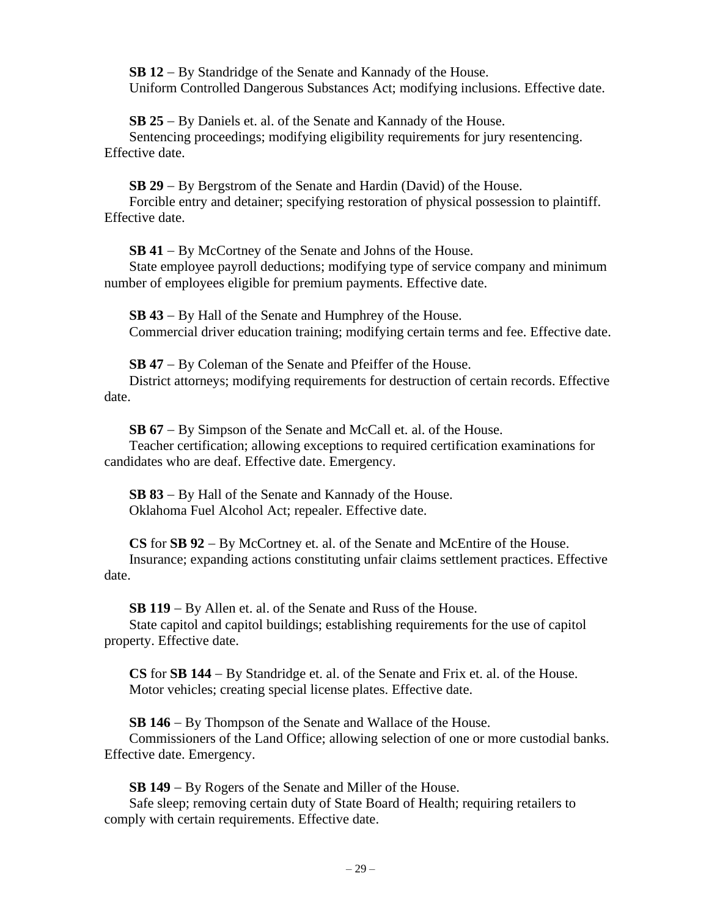**SB 12** − By Standridge of the Senate and Kannady of the House. Uniform Controlled Dangerous Substances Act; modifying inclusions. Effective date.

**SB 25** − By Daniels et. al. of the Senate and Kannady of the House. Sentencing proceedings; modifying eligibility requirements for jury resentencing. Effective date.

**SB 29** − By Bergstrom of the Senate and Hardin (David) of the House. Forcible entry and detainer; specifying restoration of physical possession to plaintiff. Effective date.

**SB 41** − By McCortney of the Senate and Johns of the House.

State employee payroll deductions; modifying type of service company and minimum number of employees eligible for premium payments. Effective date.

**SB 43** − By Hall of the Senate and Humphrey of the House. Commercial driver education training; modifying certain terms and fee. Effective date.

**SB 47** − By Coleman of the Senate and Pfeiffer of the House.

District attorneys; modifying requirements for destruction of certain records. Effective date.

**SB 67** − By Simpson of the Senate and McCall et. al. of the House.

Teacher certification; allowing exceptions to required certification examinations for candidates who are deaf. Effective date. Emergency.

**SB 83** − By Hall of the Senate and Kannady of the House. Oklahoma Fuel Alcohol Act; repealer. Effective date.

**CS** for **SB 92** − By McCortney et. al. of the Senate and McEntire of the House. Insurance; expanding actions constituting unfair claims settlement practices. Effective date.

**SB 119** − By Allen et. al. of the Senate and Russ of the House.

State capitol and capitol buildings; establishing requirements for the use of capitol property. Effective date.

**CS** for **SB 144** − By Standridge et. al. of the Senate and Frix et. al. of the House. Motor vehicles; creating special license plates. Effective date.

**SB 146** − By Thompson of the Senate and Wallace of the House.

Commissioners of the Land Office; allowing selection of one or more custodial banks. Effective date. Emergency.

**SB 149** − By Rogers of the Senate and Miller of the House.

Safe sleep; removing certain duty of State Board of Health; requiring retailers to comply with certain requirements. Effective date.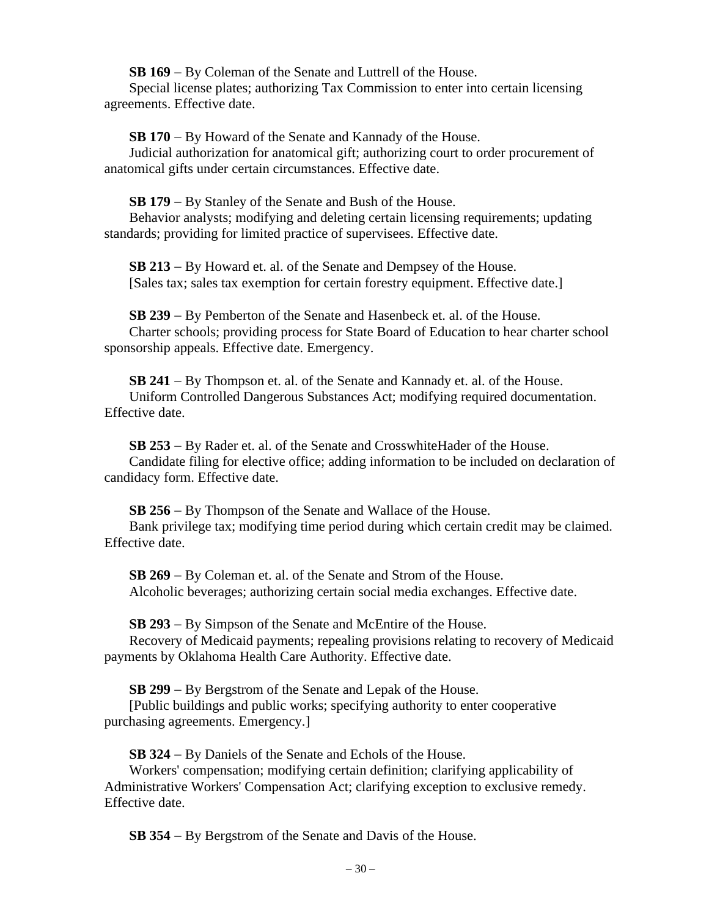**SB 169** − By Coleman of the Senate and Luttrell of the House.

Special license plates; authorizing Tax Commission to enter into certain licensing agreements. Effective date.

**SB 170** − By Howard of the Senate and Kannady of the House.

Judicial authorization for anatomical gift; authorizing court to order procurement of anatomical gifts under certain circumstances. Effective date.

**SB 179** − By Stanley of the Senate and Bush of the House.

Behavior analysts; modifying and deleting certain licensing requirements; updating standards; providing for limited practice of supervisees. Effective date.

**SB 213** − By Howard et. al. of the Senate and Dempsey of the House. [Sales tax; sales tax exemption for certain forestry equipment. Effective date.]

**SB 239** − By Pemberton of the Senate and Hasenbeck et. al. of the House. Charter schools; providing process for State Board of Education to hear charter school sponsorship appeals. Effective date. Emergency.

**SB 241** − By Thompson et. al. of the Senate and Kannady et. al. of the House. Uniform Controlled Dangerous Substances Act; modifying required documentation. Effective date.

**SB 253** − By Rader et. al. of the Senate and CrosswhiteHader of the House. Candidate filing for elective office; adding information to be included on declaration of candidacy form. Effective date.

**SB 256** − By Thompson of the Senate and Wallace of the House. Bank privilege tax; modifying time period during which certain credit may be claimed. Effective date.

**SB 269** − By Coleman et. al. of the Senate and Strom of the House. Alcoholic beverages; authorizing certain social media exchanges. Effective date.

**SB 293** − By Simpson of the Senate and McEntire of the House.

Recovery of Medicaid payments; repealing provisions relating to recovery of Medicaid payments by Oklahoma Health Care Authority. Effective date.

**SB 299** − By Bergstrom of the Senate and Lepak of the House.

[Public buildings and public works; specifying authority to enter cooperative purchasing agreements. Emergency.]

**SB 324** − By Daniels of the Senate and Echols of the House.

Workers' compensation; modifying certain definition; clarifying applicability of Administrative Workers' Compensation Act; clarifying exception to exclusive remedy. Effective date.

**SB 354** − By Bergstrom of the Senate and Davis of the House.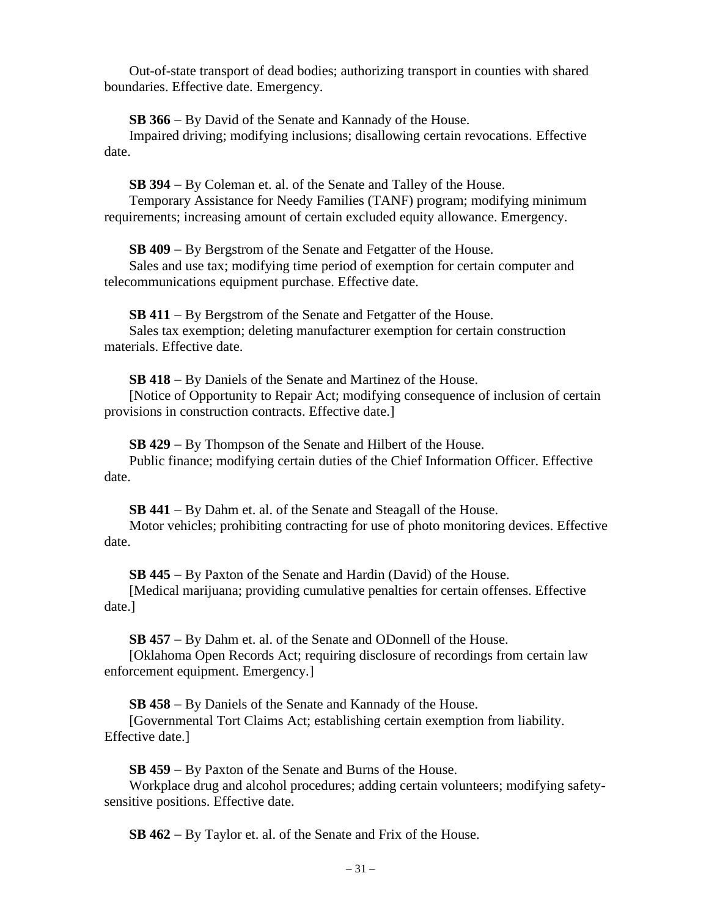Out-of-state transport of dead bodies; authorizing transport in counties with shared boundaries. Effective date. Emergency.

**SB 366** − By David of the Senate and Kannady of the House.

Impaired driving; modifying inclusions; disallowing certain revocations. Effective date.

**SB 394** − By Coleman et. al. of the Senate and Talley of the House.

Temporary Assistance for Needy Families (TANF) program; modifying minimum requirements; increasing amount of certain excluded equity allowance. Emergency.

**SB 409** − By Bergstrom of the Senate and Fetgatter of the House.

Sales and use tax; modifying time period of exemption for certain computer and telecommunications equipment purchase. Effective date.

**SB 411** − By Bergstrom of the Senate and Fetgatter of the House.

Sales tax exemption; deleting manufacturer exemption for certain construction materials. Effective date.

**SB 418** − By Daniels of the Senate and Martinez of the House.

[Notice of Opportunity to Repair Act; modifying consequence of inclusion of certain provisions in construction contracts. Effective date.]

**SB 429** − By Thompson of the Senate and Hilbert of the House.

Public finance; modifying certain duties of the Chief Information Officer. Effective date.

**SB 441** − By Dahm et. al. of the Senate and Steagall of the House.

Motor vehicles; prohibiting contracting for use of photo monitoring devices. Effective date.

**SB 445** − By Paxton of the Senate and Hardin (David) of the House.

[Medical marijuana; providing cumulative penalties for certain offenses. Effective date.]

**SB 457** − By Dahm et. al. of the Senate and ODonnell of the House.

[Oklahoma Open Records Act; requiring disclosure of recordings from certain law enforcement equipment. Emergency.]

**SB 458** − By Daniels of the Senate and Kannady of the House.

[Governmental Tort Claims Act; establishing certain exemption from liability. Effective date.]

**SB 459** − By Paxton of the Senate and Burns of the House.

Workplace drug and alcohol procedures; adding certain volunteers; modifying safetysensitive positions. Effective date.

**SB 462** − By Taylor et. al. of the Senate and Frix of the House.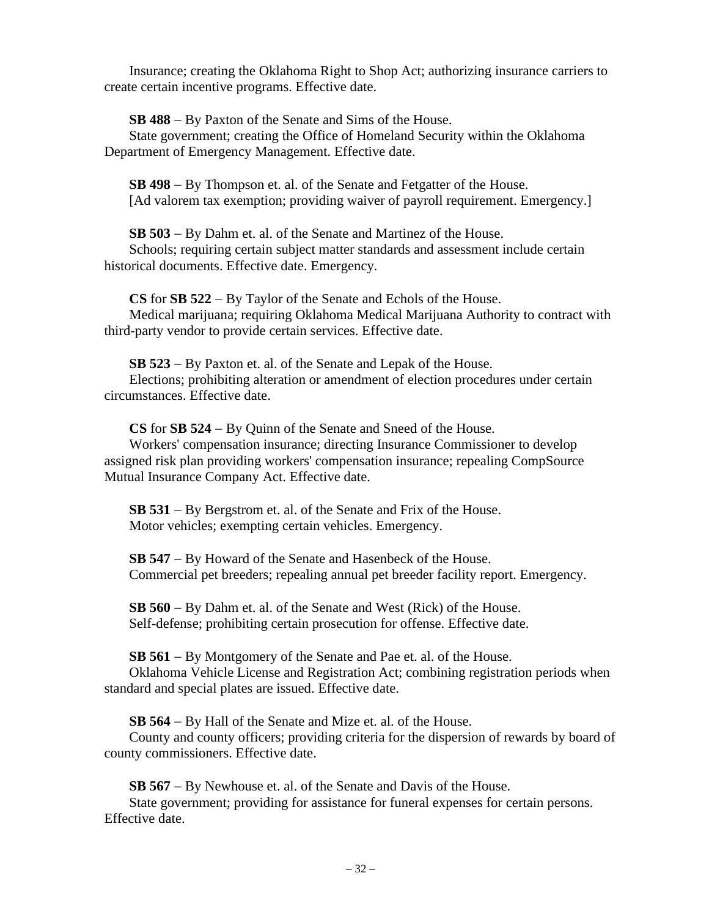Insurance; creating the Oklahoma Right to Shop Act; authorizing insurance carriers to create certain incentive programs. Effective date.

**SB 488** − By Paxton of the Senate and Sims of the House.

State government; creating the Office of Homeland Security within the Oklahoma Department of Emergency Management. Effective date.

**SB 498** − By Thompson et. al. of the Senate and Fetgatter of the House. [Ad valorem tax exemption; providing waiver of payroll requirement. Emergency.]

**SB 503** − By Dahm et. al. of the Senate and Martinez of the House.

Schools; requiring certain subject matter standards and assessment include certain historical documents. Effective date. Emergency.

**CS** for **SB 522** − By Taylor of the Senate and Echols of the House. Medical marijuana; requiring Oklahoma Medical Marijuana Authority to contract with third-party vendor to provide certain services. Effective date.

**SB 523** − By Paxton et. al. of the Senate and Lepak of the House. Elections; prohibiting alteration or amendment of election procedures under certain circumstances. Effective date.

**CS** for **SB 524** − By Quinn of the Senate and Sneed of the House.

Workers' compensation insurance; directing Insurance Commissioner to develop assigned risk plan providing workers' compensation insurance; repealing CompSource Mutual Insurance Company Act. Effective date.

**SB 531** − By Bergstrom et. al. of the Senate and Frix of the House. Motor vehicles; exempting certain vehicles. Emergency.

**SB 547** − By Howard of the Senate and Hasenbeck of the House. Commercial pet breeders; repealing annual pet breeder facility report. Emergency.

**SB 560** − By Dahm et. al. of the Senate and West (Rick) of the House. Self-defense; prohibiting certain prosecution for offense. Effective date.

**SB 561** − By Montgomery of the Senate and Pae et. al. of the House. Oklahoma Vehicle License and Registration Act; combining registration periods when standard and special plates are issued. Effective date.

**SB 564** − By Hall of the Senate and Mize et. al. of the House.

County and county officers; providing criteria for the dispersion of rewards by board of county commissioners. Effective date.

**SB 567** − By Newhouse et. al. of the Senate and Davis of the House.

State government; providing for assistance for funeral expenses for certain persons. Effective date.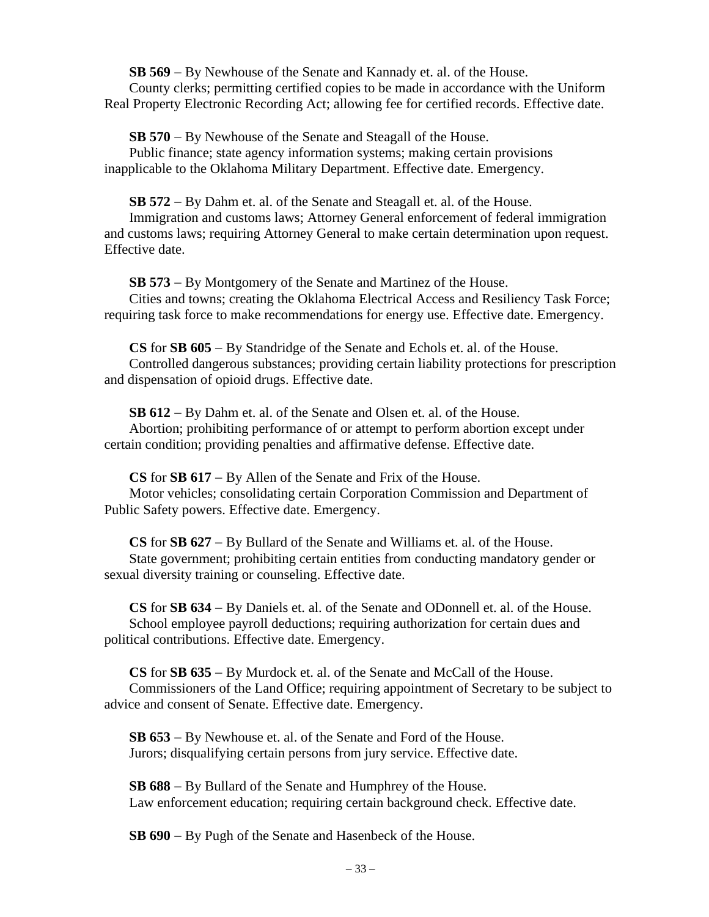**SB 569** − By Newhouse of the Senate and Kannady et. al. of the House. County clerks; permitting certified copies to be made in accordance with the Uniform Real Property Electronic Recording Act; allowing fee for certified records. Effective date.

**SB 570** − By Newhouse of the Senate and Steagall of the House. Public finance; state agency information systems; making certain provisions inapplicable to the Oklahoma Military Department. Effective date. Emergency.

**SB 572** − By Dahm et. al. of the Senate and Steagall et. al. of the House.

Immigration and customs laws; Attorney General enforcement of federal immigration and customs laws; requiring Attorney General to make certain determination upon request. Effective date.

**SB 573** − By Montgomery of the Senate and Martinez of the House. Cities and towns; creating the Oklahoma Electrical Access and Resiliency Task Force; requiring task force to make recommendations for energy use. Effective date. Emergency.

**CS** for **SB 605** − By Standridge of the Senate and Echols et. al. of the House. Controlled dangerous substances; providing certain liability protections for prescription and dispensation of opioid drugs. Effective date.

**SB 612** − By Dahm et. al. of the Senate and Olsen et. al. of the House. Abortion; prohibiting performance of or attempt to perform abortion except under certain condition; providing penalties and affirmative defense. Effective date.

**CS** for **SB 617** − By Allen of the Senate and Frix of the House. Motor vehicles; consolidating certain Corporation Commission and Department of Public Safety powers. Effective date. Emergency.

**CS** for **SB 627** − By Bullard of the Senate and Williams et. al. of the House. State government; prohibiting certain entities from conducting mandatory gender or sexual diversity training or counseling. Effective date.

**CS** for **SB 634** − By Daniels et. al. of the Senate and ODonnell et. al. of the House. School employee payroll deductions; requiring authorization for certain dues and political contributions. Effective date. Emergency.

**CS** for **SB 635** − By Murdock et. al. of the Senate and McCall of the House. Commissioners of the Land Office; requiring appointment of Secretary to be subject to advice and consent of Senate. Effective date. Emergency.

**SB 653** − By Newhouse et. al. of the Senate and Ford of the House. Jurors; disqualifying certain persons from jury service. Effective date.

**SB 688** − By Bullard of the Senate and Humphrey of the House. Law enforcement education; requiring certain background check. Effective date.

**SB 690** − By Pugh of the Senate and Hasenbeck of the House.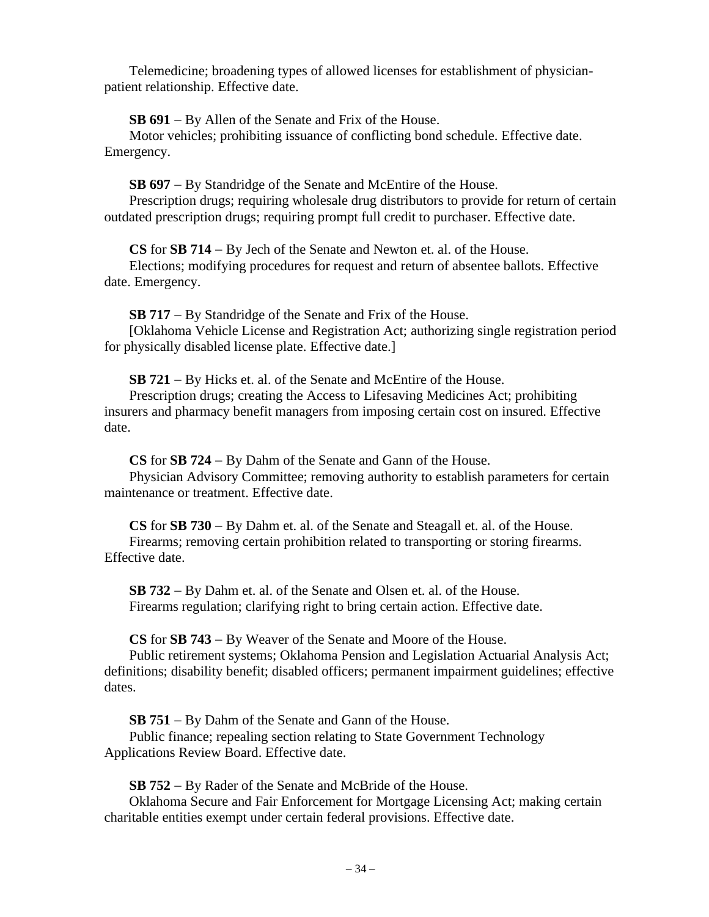Telemedicine; broadening types of allowed licenses for establishment of physicianpatient relationship. Effective date.

**SB 691** − By Allen of the Senate and Frix of the House.

Motor vehicles; prohibiting issuance of conflicting bond schedule. Effective date. Emergency.

**SB 697** − By Standridge of the Senate and McEntire of the House.

Prescription drugs; requiring wholesale drug distributors to provide for return of certain outdated prescription drugs; requiring prompt full credit to purchaser. Effective date.

**CS** for **SB 714** − By Jech of the Senate and Newton et. al. of the House.

Elections; modifying procedures for request and return of absentee ballots. Effective date. Emergency.

**SB 717** − By Standridge of the Senate and Frix of the House.

[Oklahoma Vehicle License and Registration Act; authorizing single registration period for physically disabled license plate. Effective date.]

**SB 721** − By Hicks et. al. of the Senate and McEntire of the House.

Prescription drugs; creating the Access to Lifesaving Medicines Act; prohibiting insurers and pharmacy benefit managers from imposing certain cost on insured. Effective date.

**CS** for **SB 724** − By Dahm of the Senate and Gann of the House.

Physician Advisory Committee; removing authority to establish parameters for certain maintenance or treatment. Effective date.

**CS** for **SB 730** − By Dahm et. al. of the Senate and Steagall et. al. of the House. Firearms; removing certain prohibition related to transporting or storing firearms. Effective date.

**SB 732** − By Dahm et. al. of the Senate and Olsen et. al. of the House. Firearms regulation; clarifying right to bring certain action. Effective date.

**CS** for **SB 743** − By Weaver of the Senate and Moore of the House.

Public retirement systems; Oklahoma Pension and Legislation Actuarial Analysis Act; definitions; disability benefit; disabled officers; permanent impairment guidelines; effective dates.

**SB 751** − By Dahm of the Senate and Gann of the House.

Public finance; repealing section relating to State Government Technology Applications Review Board. Effective date.

**SB 752** − By Rader of the Senate and McBride of the House.

Oklahoma Secure and Fair Enforcement for Mortgage Licensing Act; making certain charitable entities exempt under certain federal provisions. Effective date.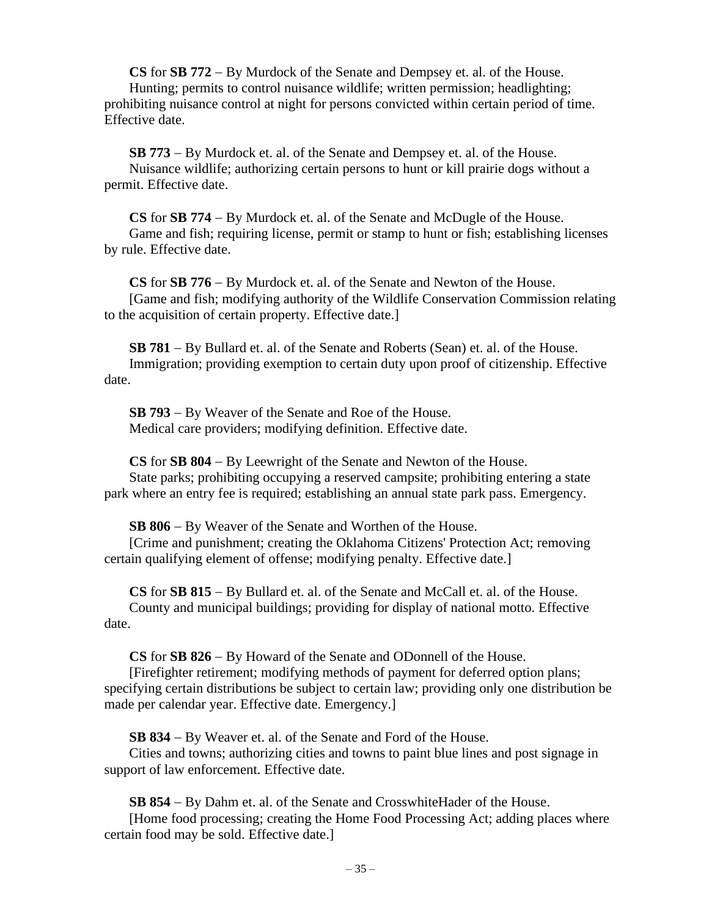**CS** for **SB 772** − By Murdock of the Senate and Dempsey et. al. of the House. Hunting; permits to control nuisance wildlife; written permission; headlighting; prohibiting nuisance control at night for persons convicted within certain period of time. Effective date.

**SB 773** − By Murdock et. al. of the Senate and Dempsey et. al. of the House. Nuisance wildlife; authorizing certain persons to hunt or kill prairie dogs without a permit. Effective date.

**CS** for **SB 774** − By Murdock et. al. of the Senate and McDugle of the House. Game and fish; requiring license, permit or stamp to hunt or fish; establishing licenses by rule. Effective date.

**CS** for **SB 776** − By Murdock et. al. of the Senate and Newton of the House. [Game and fish; modifying authority of the Wildlife Conservation Commission relating to the acquisition of certain property. Effective date.]

**SB 781** − By Bullard et. al. of the Senate and Roberts (Sean) et. al. of the House. Immigration; providing exemption to certain duty upon proof of citizenship. Effective date.

**SB 793** − By Weaver of the Senate and Roe of the House. Medical care providers; modifying definition. Effective date.

**CS** for **SB 804** − By Leewright of the Senate and Newton of the House. State parks; prohibiting occupying a reserved campsite; prohibiting entering a state park where an entry fee is required; establishing an annual state park pass. Emergency.

**SB 806** − By Weaver of the Senate and Worthen of the House.

[Crime and punishment; creating the Oklahoma Citizens' Protection Act; removing certain qualifying element of offense; modifying penalty. Effective date.]

**CS** for **SB 815** − By Bullard et. al. of the Senate and McCall et. al. of the House. County and municipal buildings; providing for display of national motto. Effective date.

**CS** for **SB 826** − By Howard of the Senate and ODonnell of the House.

[Firefighter retirement; modifying methods of payment for deferred option plans; specifying certain distributions be subject to certain law; providing only one distribution be made per calendar year. Effective date. Emergency.]

**SB 834** − By Weaver et. al. of the Senate and Ford of the House.

Cities and towns; authorizing cities and towns to paint blue lines and post signage in support of law enforcement. Effective date.

**SB 854** − By Dahm et. al. of the Senate and CrosswhiteHader of the House.

[Home food processing; creating the Home Food Processing Act; adding places where certain food may be sold. Effective date.]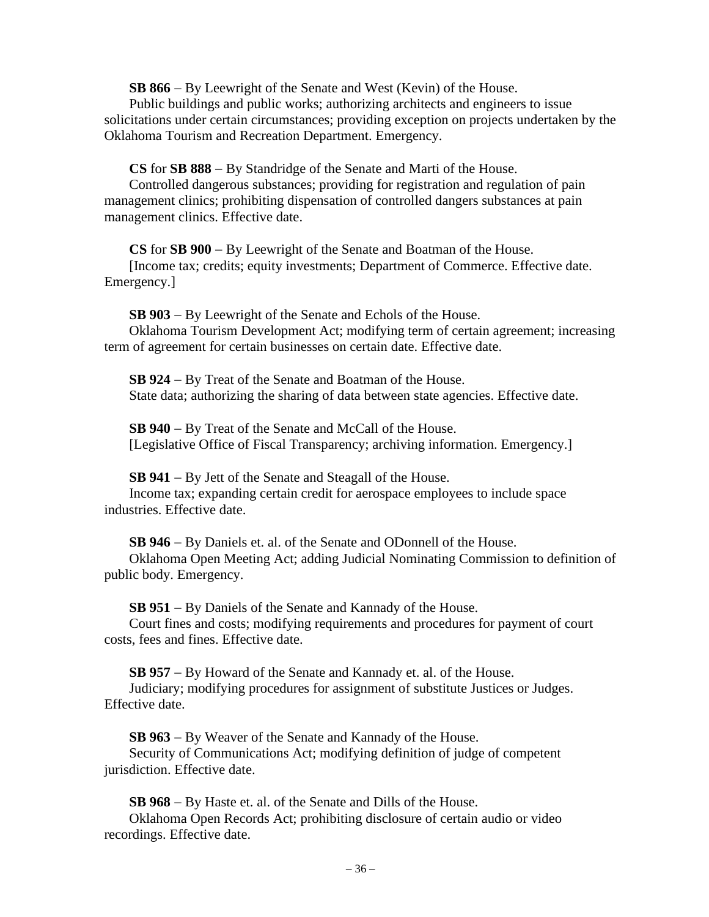**SB 866** − By Leewright of the Senate and West (Kevin) of the House.

Public buildings and public works; authorizing architects and engineers to issue solicitations under certain circumstances; providing exception on projects undertaken by the Oklahoma Tourism and Recreation Department. Emergency.

**CS** for **SB 888** − By Standridge of the Senate and Marti of the House.

Controlled dangerous substances; providing for registration and regulation of pain management clinics; prohibiting dispensation of controlled dangers substances at pain management clinics. Effective date.

**CS** for **SB 900** − By Leewright of the Senate and Boatman of the House. [Income tax; credits; equity investments; Department of Commerce. Effective date. Emergency.]

**SB 903** − By Leewright of the Senate and Echols of the House. Oklahoma Tourism Development Act; modifying term of certain agreement; increasing term of agreement for certain businesses on certain date. Effective date.

**SB 924** − By Treat of the Senate and Boatman of the House. State data; authorizing the sharing of data between state agencies. Effective date.

**SB 940** − By Treat of the Senate and McCall of the House. [Legislative Office of Fiscal Transparency; archiving information. Emergency.]

**SB 941** − By Jett of the Senate and Steagall of the House.

Income tax; expanding certain credit for aerospace employees to include space industries. Effective date.

**SB 946** − By Daniels et. al. of the Senate and ODonnell of the House.

Oklahoma Open Meeting Act; adding Judicial Nominating Commission to definition of public body. Emergency.

**SB 951** − By Daniels of the Senate and Kannady of the House.

Court fines and costs; modifying requirements and procedures for payment of court costs, fees and fines. Effective date.

**SB 957** − By Howard of the Senate and Kannady et. al. of the House. Judiciary; modifying procedures for assignment of substitute Justices or Judges. Effective date.

**SB 963** − By Weaver of the Senate and Kannady of the House. Security of Communications Act; modifying definition of judge of competent jurisdiction. Effective date.

**SB 968** − By Haste et. al. of the Senate and Dills of the House.

Oklahoma Open Records Act; prohibiting disclosure of certain audio or video recordings. Effective date.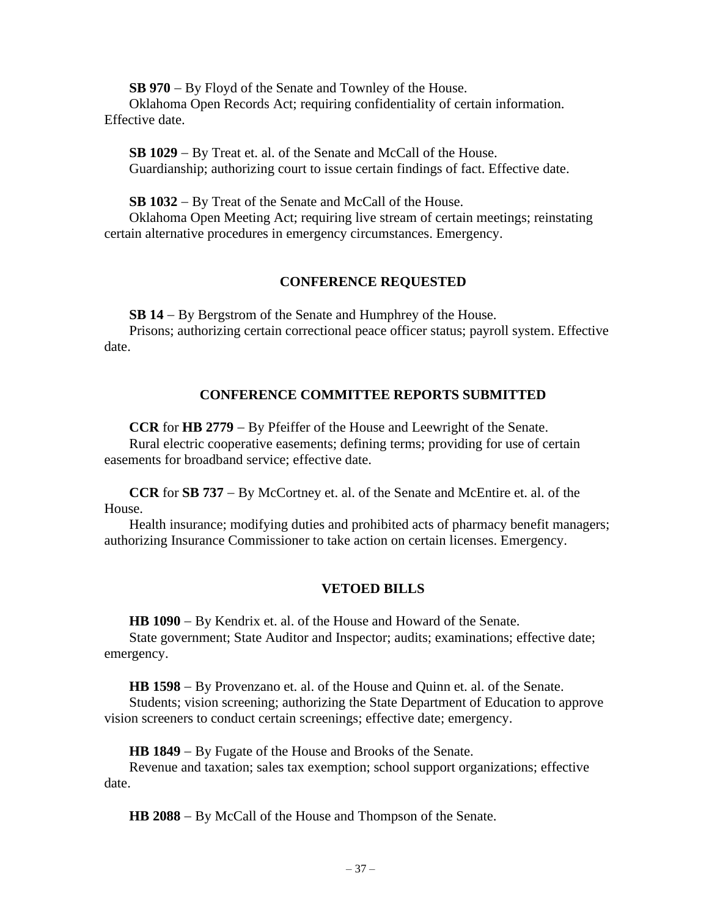**SB 970** − By Floyd of the Senate and Townley of the House.

Oklahoma Open Records Act; requiring confidentiality of certain information. Effective date.

**SB 1029** − By Treat et. al. of the Senate and McCall of the House. Guardianship; authorizing court to issue certain findings of fact. Effective date.

**SB 1032** − By Treat of the Senate and McCall of the House.

Oklahoma Open Meeting Act; requiring live stream of certain meetings; reinstating certain alternative procedures in emergency circumstances. Emergency.

## **CONFERENCE REQUESTED**

**SB 14** − By Bergstrom of the Senate and Humphrey of the House.

Prisons; authorizing certain correctional peace officer status; payroll system. Effective date.

# **CONFERENCE COMMITTEE REPORTS SUBMITTED**

**CCR** for **HB 2779** − By Pfeiffer of the House and Leewright of the Senate. Rural electric cooperative easements; defining terms; providing for use of certain easements for broadband service; effective date.

**CCR** for **SB 737** − By McCortney et. al. of the Senate and McEntire et. al. of the House.

Health insurance; modifying duties and prohibited acts of pharmacy benefit managers; authorizing Insurance Commissioner to take action on certain licenses. Emergency.

# **VETOED BILLS**

**HB 1090** − By Kendrix et. al. of the House and Howard of the Senate.

State government; State Auditor and Inspector; audits; examinations; effective date; emergency.

**HB 1598** − By Provenzano et. al. of the House and Quinn et. al. of the Senate.

Students; vision screening; authorizing the State Department of Education to approve vision screeners to conduct certain screenings; effective date; emergency.

**HB 1849** − By Fugate of the House and Brooks of the Senate.

Revenue and taxation; sales tax exemption; school support organizations; effective date.

**HB 2088** − By McCall of the House and Thompson of the Senate.